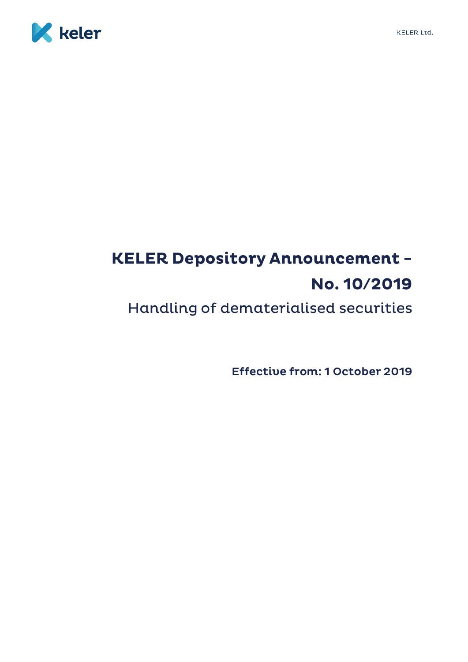



# **KELER Depository Announcement -**No. 10/2019

Handling of dematerialised securities

**Effective from: 1 October 2019**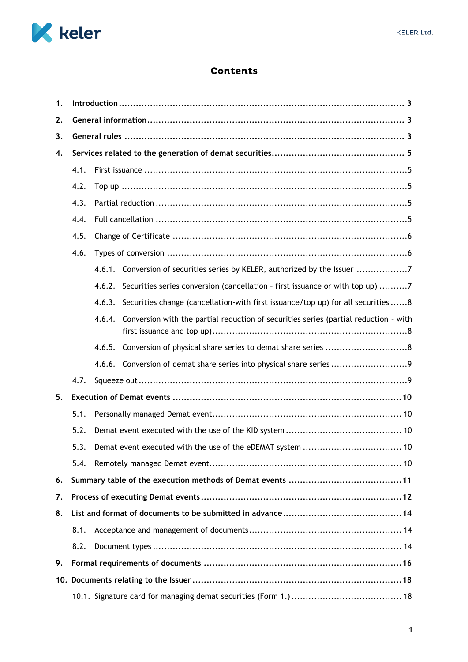

## **Contents**

| 1. |      |                                                                                                |  |  |  |  |  |  |  |
|----|------|------------------------------------------------------------------------------------------------|--|--|--|--|--|--|--|
| 2. |      |                                                                                                |  |  |  |  |  |  |  |
| 3. |      |                                                                                                |  |  |  |  |  |  |  |
| 4. |      |                                                                                                |  |  |  |  |  |  |  |
|    | 4.1. |                                                                                                |  |  |  |  |  |  |  |
|    | 4.2. |                                                                                                |  |  |  |  |  |  |  |
|    | 4.3. |                                                                                                |  |  |  |  |  |  |  |
|    | 4.4. |                                                                                                |  |  |  |  |  |  |  |
|    | 4.5. |                                                                                                |  |  |  |  |  |  |  |
|    | 4.6. |                                                                                                |  |  |  |  |  |  |  |
|    |      | 4.6.1. Conversion of securities series by KELER, authorized by the Issuer 7                    |  |  |  |  |  |  |  |
|    |      | 4.6.2. Securities series conversion (cancellation - first issuance or with top up) 7           |  |  |  |  |  |  |  |
|    |      | 4.6.3. Securities change (cancellation-with first issuance/top up) for all securities 8        |  |  |  |  |  |  |  |
|    |      | Conversion with the partial reduction of securities series (partial reduction - with<br>4.6.4. |  |  |  |  |  |  |  |
|    |      | 4.6.5. Conversion of physical share series to demat share series 8                             |  |  |  |  |  |  |  |
|    |      | 4.6.6. Conversion of demat share series into physical share series                             |  |  |  |  |  |  |  |
|    | 4.7. |                                                                                                |  |  |  |  |  |  |  |
| 5. |      |                                                                                                |  |  |  |  |  |  |  |
|    | 5.1. |                                                                                                |  |  |  |  |  |  |  |
|    | 5.2. |                                                                                                |  |  |  |  |  |  |  |
|    | 5.3. |                                                                                                |  |  |  |  |  |  |  |
|    | 5.4. |                                                                                                |  |  |  |  |  |  |  |
| 6. |      |                                                                                                |  |  |  |  |  |  |  |
| 7. |      |                                                                                                |  |  |  |  |  |  |  |
| 8. |      |                                                                                                |  |  |  |  |  |  |  |
|    | 8.1. |                                                                                                |  |  |  |  |  |  |  |
|    | 8.2. |                                                                                                |  |  |  |  |  |  |  |
| 9. |      |                                                                                                |  |  |  |  |  |  |  |
|    |      |                                                                                                |  |  |  |  |  |  |  |
|    |      |                                                                                                |  |  |  |  |  |  |  |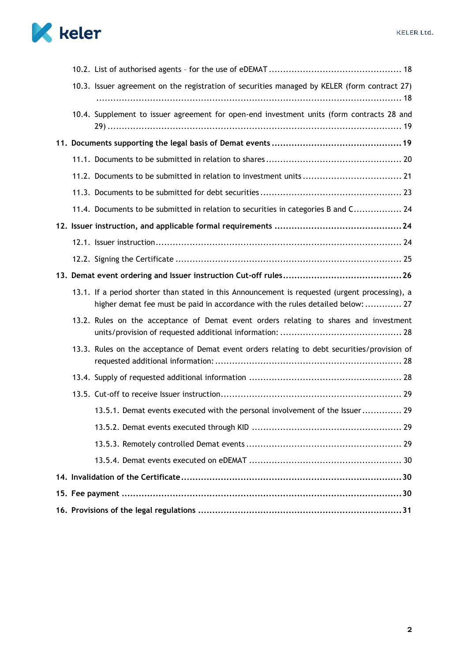



| 10.3. Issuer agreement on the registration of securities managed by KELER (form contract 27)                                                                                     |
|----------------------------------------------------------------------------------------------------------------------------------------------------------------------------------|
| 10.4. Supplement to issuer agreement for open-end investment units (form contracts 28 and                                                                                        |
|                                                                                                                                                                                  |
|                                                                                                                                                                                  |
| 11.2. Documents to be submitted in relation to investment units  21                                                                                                              |
|                                                                                                                                                                                  |
| 11.4. Documents to be submitted in relation to securities in categories B and C 24                                                                                               |
|                                                                                                                                                                                  |
|                                                                                                                                                                                  |
|                                                                                                                                                                                  |
|                                                                                                                                                                                  |
| 13.1. If a period shorter than stated in this Announcement is requested (urgent processing), a<br>higher demat fee must be paid in accordance with the rules detailed below:  27 |
| 13.2. Rules on the acceptance of Demat event orders relating to shares and investment                                                                                            |
| 13.3. Rules on the acceptance of Demat event orders relating to debt securities/provision of                                                                                     |
|                                                                                                                                                                                  |
|                                                                                                                                                                                  |
| 13.5.1. Demat events executed with the personal involvement of the Issuer 29                                                                                                     |
|                                                                                                                                                                                  |
|                                                                                                                                                                                  |
|                                                                                                                                                                                  |
|                                                                                                                                                                                  |
|                                                                                                                                                                                  |
|                                                                                                                                                                                  |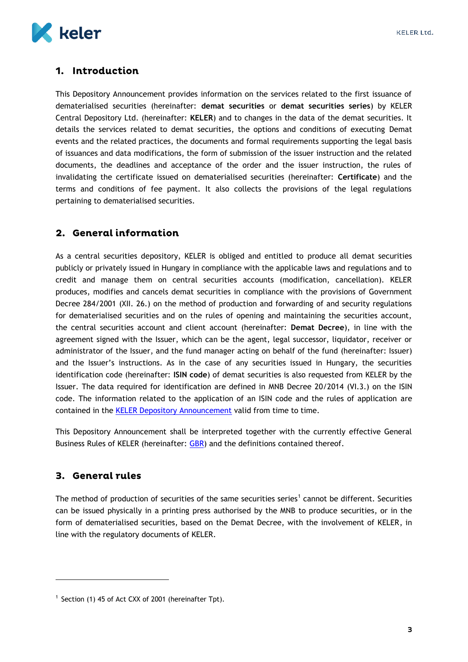

## <span id="page-3-0"></span>1. Introduction

This Depository Announcement provides information on the services related to the first issuance of dematerialised securities (hereinafter: **demat securities** or **demat securities series**) by KELER Central Depository Ltd. (hereinafter: **KELER**) and to changes in the data of the demat securities. It details the services related to demat securities, the options and conditions of executing Demat events and the related practices, the documents and formal requirements supporting the legal basis of issuances and data modifications, the form of submission of the issuer instruction and the related documents, the deadlines and acceptance of the order and the issuer instruction, the rules of invalidating the certificate issued on dematerialised securities (hereinafter: **Certificate**) and the terms and conditions of fee payment. It also collects the provisions of the legal regulations pertaining to dematerialised securities.

## <span id="page-3-1"></span>2. General information

As a central securities depository, KELER is obliged and entitled to produce all demat securities publicly or privately issued in Hungary in compliance with the applicable laws and regulations and to credit and manage them on central securities accounts (modification, cancellation). KELER produces, modifies and cancels demat securities in compliance with the provisions of Government Decree 284/2001 (XII. 26.) on the method of production and forwarding of and security regulations for dematerialised securities and on the rules of opening and maintaining the securities account, the central securities account and client account (hereinafter: **Demat Decree**), in line with the agreement signed with the Issuer, which can be the agent, legal successor, liquidator, receiver or administrator of the Issuer, and the fund manager acting on behalf of the fund (hereinafter: Issuer) and the Issuer's instructions. As in the case of any securities issued in Hungary, the securities identification code (hereinafter: **ISIN code**) of demat securities is also requested from KELER by the Issuer. The data required for identification are defined in MNB Decree 20/2014 (VI.3.) on the ISIN code. The information related to the application of an ISIN code and the rules of application are contained in the KELER [Depository Announcement](https://english.keler.hu/Key%20documents/Depository%20Announcements/KELER%20Announcement%20-%20ISIN%20Issuance/) valid from time to time.

This Depository Announcement shall be interpreted together with the currently effective General Business Rules of KELER (hereinafter: [GBR\)](https://english.keler.hu/Key%20documents/Regulatory%20documents/General%20Business%20Rules/) and the definitions contained thereof.

## <span id="page-3-2"></span>3. General rules

1

The method of production of securities of the same securities series<sup>1</sup> cannot be different. Securities can be issued physically in a printing press authorised by the MNB to produce securities, or in the form of dematerialised securities, based on the Demat Decree, with the involvement of KELER, in line with the regulatory documents of KELER.

 $1$  Section (1) 45 of Act CXX of 2001 (hereinafter Tpt).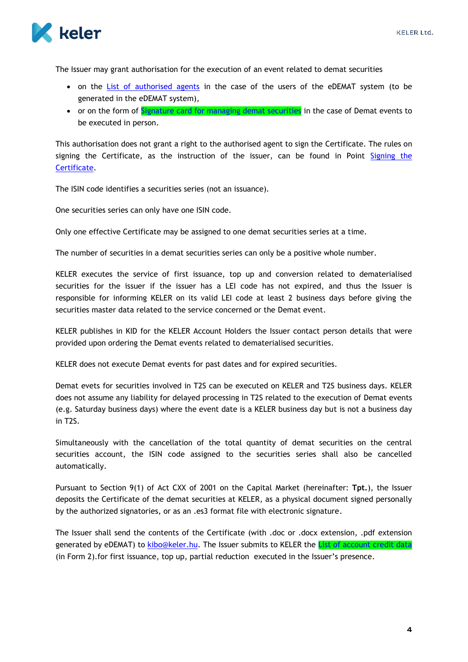

The Issuer may grant authorisation for the execution of an event related to demat securities

- on the [List of authorised agents](#page-18-4) in the case of the users of the eDEMAT system (to be generated in the eDEMAT system),
- or on the form of **Signature card for managing demat securities** in the case of Demat events to be executed in person.

This authorisation does not grant a right to the authorised agent to sign the Certificate. The rules on signing the Certificate, as the instruction of the issuer, can be found in Point [Signing the](#page-25-0)  [Certificate.](#page-25-0)

The ISIN code identifies a securities series (not an issuance).

One securities series can only have one ISIN code.

Only one effective Certificate may be assigned to one demat securities series at a time.

The number of securities in a demat securities series can only be a positive whole number.

KELER executes the service of first issuance, top up and conversion related to dematerialised securities for the issuer if the issuer has a LEI code has not expired, and thus the Issuer is responsible for informing KELER on its valid LEI code at least 2 business days before giving the securities master data related to the service concerned or the Demat event.

KELER publishes in KID for the KELER Account Holders the Issuer contact person details that were provided upon ordering the Demat events related to dematerialised securities.

KELER does not execute Demat events for past dates and for expired securities.

Demat evets for securities involved in T2S can be executed on KELER and T2S business days. KELER does not assume any liability for delayed processing in T2S related to the execution of Demat events (e.g. Saturday business days) where the event date is a KELER business day but is not a business day in T2S.

Simultaneously with the cancellation of the total quantity of demat securities on the central securities account, the ISIN code assigned to the securities series shall also be cancelled automatically.

Pursuant to Section 9(1) of Act CXX of 2001 on the Capital Market (hereinafter: **Tpt.**), the Issuer deposits the Certificate of the demat securities at KELER, as a physical document signed personally by the authorized signatories, or as an .es3 format file with electronic signature.

The Issuer shall send the contents of the Certificate (with .doc or .docx extension, .pdf extension generated by eDEMAT) to [kibo@keler.hu.](mailto:DEMO@keler.hu) The Issuer submits to KELER the [List of account credit data](https://english.keler.hu/Key%20documents/Business%20Forms/) (in Form 2).for first issuance, top up, partial reduction executed in the Issuer's presence.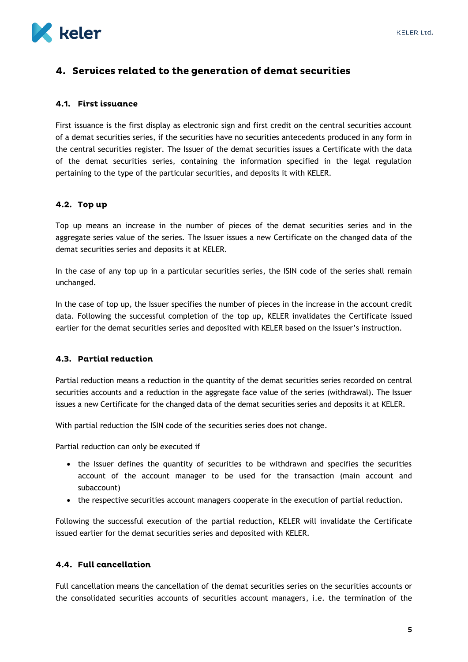

## <span id="page-5-0"></span>4. Services related to the generation of demat securities

#### <span id="page-5-1"></span>4.1. First issuance

First issuance is the first display as electronic sign and first credit on the central securities account of a demat securities series, if the securities have no securities antecedents produced in any form in the central securities register. The Issuer of the demat securities issues a Certificate with the data of the demat securities series, containing the information specified in the legal regulation pertaining to the type of the particular securities, and deposits it with KELER.

#### <span id="page-5-2"></span>4.2. Top up

Top up means an increase in the number of pieces of the demat securities series and in the aggregate series value of the series. The Issuer issues a new Certificate on the changed data of the demat securities series and deposits it at KELER.

In the case of any top up in a particular securities series, the ISIN code of the series shall remain unchanged.

In the case of top up, the Issuer specifies the number of pieces in the increase in the account credit data. Following the successful completion of the top up, KELER invalidates the Certificate issued earlier for the demat securities series and deposited with KELER based on the Issuer's instruction.

#### <span id="page-5-3"></span>4.3. Partial reduction

Partial reduction means a reduction in the quantity of the demat securities series recorded on central securities accounts and a reduction in the aggregate face value of the series (withdrawal). The Issuer issues a new Certificate for the changed data of the demat securities series and deposits it at KELER.

With partial reduction the ISIN code of the securities series does not change.

Partial reduction can only be executed if

- the Issuer defines the quantity of securities to be withdrawn and specifies the securities account of the account manager to be used for the transaction (main account and subaccount)
- the respective securities account managers cooperate in the execution of partial reduction.

Following the successful execution of the partial reduction, KELER will invalidate the Certificate issued earlier for the demat securities series and deposited with KELER.

#### <span id="page-5-4"></span>4.4. Full cancellation

Full cancellation means the cancellation of the demat securities series on the securities accounts or the consolidated securities accounts of securities account managers, i.e. the termination of the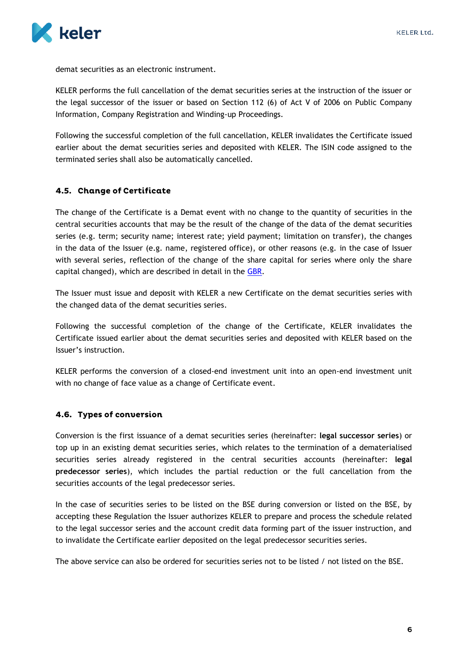

demat securities as an electronic instrument.

KELER performs the full cancellation of the demat securities series at the instruction of the issuer or the legal successor of the issuer or based on Section 112 (6) of Act V of 2006 on Public Company Information, Company Registration and Winding-up Proceedings.

Following the successful completion of the full cancellation, KELER invalidates the Certificate issued earlier about the demat securities series and deposited with KELER. The ISIN code assigned to the terminated series shall also be automatically cancelled.

#### <span id="page-6-0"></span>4.5. Change of Certificate

The change of the Certificate is a Demat event with no change to the quantity of securities in the central securities accounts that may be the result of the change of the data of the demat securities series (e.g. term; security name; interest rate; yield payment; limitation on transfer), the changes in the data of the Issuer (e.g. name, registered office), or other reasons (e.g. in the case of Issuer with several series, reflection of the change of the share capital for series where only the share capital changed), which are described in detail in the [GBR.](https://english.keler.hu/Key%20documents/Regulatory%20documents/General%20Business%20Rules/)

The Issuer must issue and deposit with KELER a new Certificate on the demat securities series with the changed data of the demat securities series.

Following the successful completion of the change of the Certificate, KELER invalidates the Certificate issued earlier about the demat securities series and deposited with KELER based on the Issuer's instruction.

KELER performs the conversion of a closed-end investment unit into an open-end investment unit with no change of face value as a change of Certificate event.

#### <span id="page-6-1"></span>4.6. Types of conversion

Conversion is the first issuance of a demat securities series (hereinafter: **legal successor series**) or top up in an existing demat securities series, which relates to the termination of a dematerialised securities series already registered in the central securities accounts (hereinafter: **legal predecessor series**), which includes the partial reduction or the full cancellation from the securities accounts of the legal predecessor series.

In the case of securities series to be listed on the BSE during conversion or listed on the BSE, by accepting these Regulation the Issuer authorizes KELER to prepare and process the schedule related to the legal successor series and the account credit data forming part of the issuer instruction, and to invalidate the Certificate earlier deposited on the legal predecessor securities series.

The above service can also be ordered for securities series not to be listed / not listed on the BSE.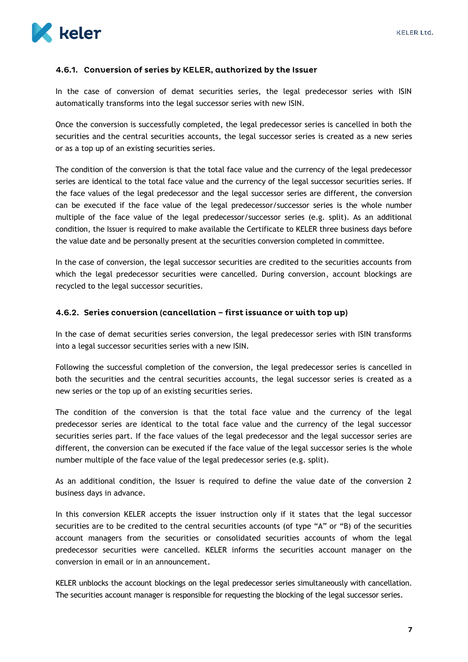

#### <span id="page-7-0"></span>4.6.1. Conversion of series by KELER, authorized by the Issuer

In the case of conversion of demat securities series, the legal predecessor series with ISIN automatically transforms into the legal successor series with new ISIN.

Once the conversion is successfully completed, the legal predecessor series is cancelled in both the securities and the central securities accounts, the legal successor series is created as a new series or as a top up of an existing securities series.

The condition of the conversion is that the total face value and the currency of the legal predecessor series are identical to the total face value and the currency of the legal successor securities series. If the face values of the legal predecessor and the legal successor series are different, the conversion can be executed if the face value of the legal predecessor/successor series is the whole number multiple of the face value of the legal predecessor/successor series (e.g. split). As an additional condition, the Issuer is required to make available the Certificate to KELER three business days before the value date and be personally present at the securities conversion completed in committee.

In the case of conversion, the legal successor securities are credited to the securities accounts from which the legal predecessor securities were cancelled. During conversion, account blockings are recycled to the legal successor securities.

#### <span id="page-7-1"></span>4.6.2. Series conversion (cancellation - first issuance or with top up)

In the case of demat securities series conversion, the legal predecessor series with ISIN transforms into a legal successor securities series with a new ISIN.

Following the successful completion of the conversion, the legal predecessor series is cancelled in both the securities and the central securities accounts, the legal successor series is created as a new series or the top up of an existing securities series.

The condition of the conversion is that the total face value and the currency of the legal predecessor series are identical to the total face value and the currency of the legal successor securities series part. If the face values of the legal predecessor and the legal successor series are different, the conversion can be executed if the face value of the legal successor series is the whole number multiple of the face value of the legal predecessor series (e.g. split).

As an additional condition, the Issuer is required to define the value date of the conversion 2 business days in advance.

In this conversion KELER accepts the issuer instruction only if it states that the legal successor securities are to be credited to the central securities accounts (of type "A" or "B) of the securities account managers from the securities or consolidated securities accounts of whom the legal predecessor securities were cancelled. KELER informs the securities account manager on the conversion in email or in an announcement.

KELER unblocks the account blockings on the legal predecessor series simultaneously with cancellation. The securities account manager is responsible for requesting the blocking of the legal successor series.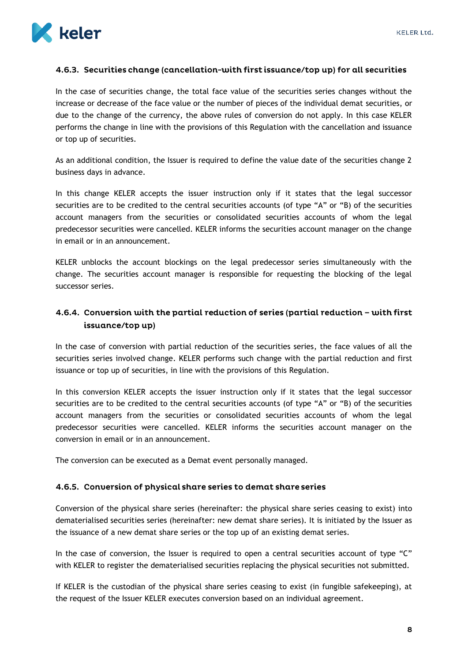

#### <span id="page-8-0"></span>4.6.3. Securities change (cancellation-with first issuance/top up) for all securities

In the case of securities change, the total face value of the securities series changes without the increase or decrease of the face value or the number of pieces of the individual demat securities, or due to the change of the currency, the above rules of conversion do not apply. In this case KELER performs the change in line with the provisions of this Regulation with the cancellation and issuance or top up of securities.

As an additional condition, the Issuer is required to define the value date of the securities change 2 business days in advance.

In this change KELER accepts the issuer instruction only if it states that the legal successor securities are to be credited to the central securities accounts (of type "A" or "B) of the securities account managers from the securities or consolidated securities accounts of whom the legal predecessor securities were cancelled. KELER informs the securities account manager on the change in email or in an announcement.

KELER unblocks the account blockings on the legal predecessor series simultaneously with the change. The securities account manager is responsible for requesting the blocking of the legal successor series.

## <span id="page-8-1"></span>4.6.4. Conversion with the partial reduction of series (partial reduction – with first issuance/top up)

In the case of conversion with partial reduction of the securities series, the face values of all the securities series involved change. KELER performs such change with the partial reduction and first issuance or top up of securities, in line with the provisions of this Regulation.

In this conversion KELER accepts the issuer instruction only if it states that the legal successor securities are to be credited to the central securities accounts (of type "A" or "B) of the securities account managers from the securities or consolidated securities accounts of whom the legal predecessor securities were cancelled. KELER informs the securities account manager on the conversion in email or in an announcement.

The conversion can be executed as a Demat event personally managed.

#### <span id="page-8-2"></span>4.6.5. Conversion of physical share series to demat share series

Conversion of the physical share series (hereinafter: the physical share series ceasing to exist) into dematerialised securities series (hereinafter: new demat share series). It is initiated by the Issuer as the issuance of a new demat share series or the top up of an existing demat series.

In the case of conversion, the Issuer is required to open a central securities account of type "C" with KELER to register the dematerialised securities replacing the physical securities not submitted.

If KELER is the custodian of the physical share series ceasing to exist (in fungible safekeeping), at the request of the Issuer KELER executes conversion based on an individual agreement.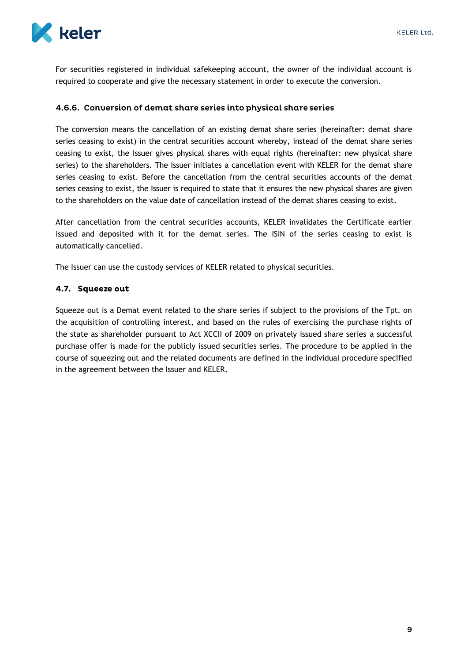

For securities registered in individual safekeeping account, the owner of the individual account is required to cooperate and give the necessary statement in order to execute the conversion.

#### <span id="page-9-0"></span>4.6.6. Conversion of demat share series into physical share series

The conversion means the cancellation of an existing demat share series (hereinafter: demat share series ceasing to exist) in the central securities account whereby, instead of the demat share series ceasing to exist, the Issuer gives physical shares with equal rights (hereinafter: new physical share series) to the shareholders. The Issuer initiates a cancellation event with KELER for the demat share series ceasing to exist. Before the cancellation from the central securities accounts of the demat series ceasing to exist, the Issuer is required to state that it ensures the new physical shares are given to the shareholders on the value date of cancellation instead of the demat shares ceasing to exist.

After cancellation from the central securities accounts, KELER invalidates the Certificate earlier issued and deposited with it for the demat series. The ISIN of the series ceasing to exist is automatically cancelled.

The Issuer can use the custody services of KELER related to physical securities.

#### <span id="page-9-1"></span>4.7. Squeeze out

Squeeze out is a Demat event related to the share series if subject to the provisions of the Tpt. on the acquisition of controlling interest, and based on the rules of exercising the purchase rights of the state as shareholder pursuant to Act XCCII of 2009 on privately issued share series a successful purchase offer is made for the publicly issued securities series. The procedure to be applied in the course of squeezing out and the related documents are defined in the individual procedure specified in the agreement between the Issuer and KELER.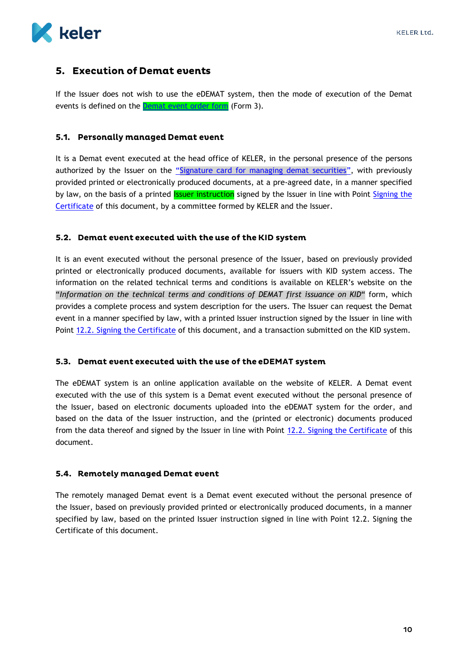

## <span id="page-10-0"></span>5. Execution of Demat events

If the Issuer does not wish to use the eDEMAT system, then the mode of execution of the Demat events is defined on the **Demat event order form** (Form 3).

#### <span id="page-10-1"></span>5.1. Personally managed Demat event

It is a Demat event executed at the head office of KELER, in the personal presence of the persons authorized by the Issuer on the "[Signature card for managing demat securities](https://english.keler.hu/Key%20documents/Business%20Forms/Signature%20Registration%20Form%20of%20signatories%20reported%20to%20KELER%20Ltd/Signature%20Registration%20Form.pdf)", with previously provided printed or electronically produced documents, at a pre-agreed date, in a manner specified by law, on the basis of a printed **Issuer instruction** signed by the Issuer in line with Point Signing the [Certificate](#page-25-0) of this document, by a committee formed by KELER and the Issuer.

#### <span id="page-10-2"></span>5.2. Demat event executed with the use of the KID system

It is an event executed without the personal presence of the Issuer, based on previously provided printed or electronically produced documents, available for issuers with KID system access. The information on the related technical terms and conditions is available on KELER's website on the "*Information on the technical terms and conditions of DEMAT first issuance on KID*" form, which provides a complete process and system description for the users. The Issuer can request the Demat event in a manner specified by law, with a printed Issuer instruction signed by the Issuer in line with Point [12.2. Signing the Certificate](#page-25-0) of this document, and a transaction submitted on the KID system.

#### <span id="page-10-3"></span>5.3. Demat event executed with the use of the eDEMAT system

The eDEMAT system is an online application available on the website of KELER. A Demat event executed with the use of this system is a Demat event executed without the personal presence of the Issuer, based on electronic documents uploaded into the eDEMAT system for the order, and based on the data of the Issuer instruction, and the (printed or electronic) documents produced from the data thereof and signed by the Issuer in line with Point [12.2. Signing the Certificate](#page-25-0) of this document.

#### <span id="page-10-4"></span>5.4. Remotely managed Demat event

The remotely managed Demat event is a Demat event executed without the personal presence of the Issuer, based on previously provided printed or electronically produced documents, in a manner specified by law, based on the printed Issuer instruction signed in line with Point 12.2. Signing the Certificate of this document.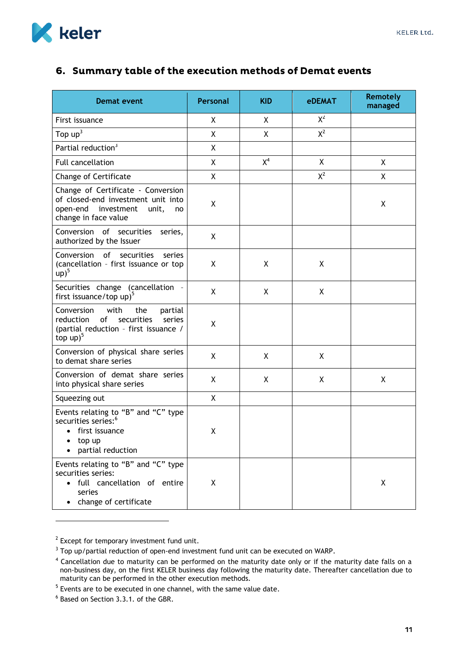

# <span id="page-11-0"></span>6. Summary table of the execution methods of Demat events

| <b>Demat event</b>                                                                                                                               | Personal | <b>KID</b> | <b>eDEMAT</b> | <b>Remotely</b><br>managed |
|--------------------------------------------------------------------------------------------------------------------------------------------------|----------|------------|---------------|----------------------------|
| First issuance                                                                                                                                   | X        | X          | $X^2$         |                            |
| Top $up3$                                                                                                                                        | X        | X          | $X^2$         |                            |
| Partial reduction <sup>3</sup>                                                                                                                   | X        |            |               |                            |
| Full cancellation                                                                                                                                | X        | $X^4$      | X             | X                          |
| Change of Certificate                                                                                                                            | χ        |            | $X^2$         | X                          |
| Change of Certificate - Conversion<br>of closed-end investment unit into<br>open-end investment<br>unit,<br>no<br>change in face value           | χ        |            |               | Χ                          |
| Conversion of securities<br>series,<br>authorized by the Issuer                                                                                  | X        |            |               |                            |
| Conversion<br>of securities<br>series<br>(cancellation - first issuance or top<br>$up)^5$                                                        | X        | X          | X             |                            |
| Securities change (cancellation -<br>first issuance/top up) <sup>5</sup>                                                                         | Χ        | X          | X             |                            |
| Conversion<br>with<br>the<br>partial<br>of<br>securities<br>reduction<br>series<br>(partial reduction - first issuance /<br>top $up)^5$          | χ        |            |               |                            |
| Conversion of physical share series<br>to demat share series                                                                                     | χ        | X          | X             |                            |
| Conversion of demat share series<br>into physical share series                                                                                   | X        | X          | X             | X                          |
| Squeezing out                                                                                                                                    | X        |            |               |                            |
| Events relating to "B" and "C" type<br>securities series: <sup>6</sup><br>• first issuance<br>$\bullet$ top up<br>partial reduction<br>$\bullet$ | χ        |            |               |                            |
| Events relating to "B" and "C" type<br>securities series:<br>· full cancellation of entire<br>series<br>change of certificate                    | X        |            |               | Χ                          |

 $2$  Except for temporary investment fund unit.

-

 $3$  Top up/partial reduction of open-end investment fund unit can be executed on WARP.

 $<sup>4</sup>$  Cancellation due to maturity can be performed on the maturity date only or if the maturity date falls on a</sup> non-business day, on the first KELER business day following the maturity date. Thereafter cancellation due to maturity can be performed in the other execution methods.

<sup>&</sup>lt;sup>5</sup> Events are to be executed in one channel, with the same value date.

<sup>&</sup>lt;sup>6</sup> Based on Section 3.3.1. of the GBR.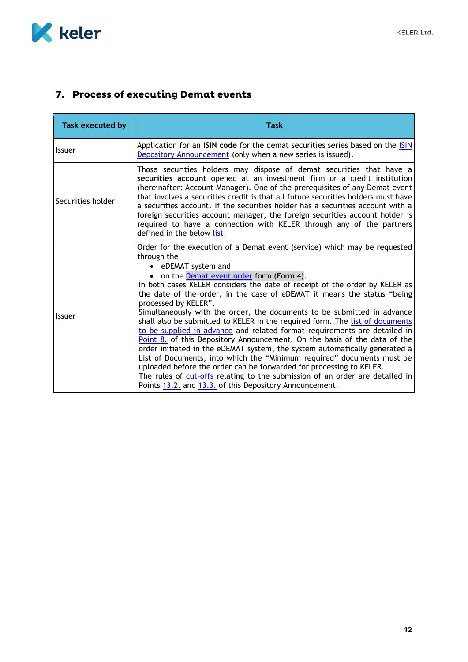

# <span id="page-12-0"></span>7. Process of executing Demat events

| <b>Task executed by</b> | Task                                                                                                                                                                                                                                                                                                                                                                                                                                                                                                                                                                                                                                                                                                                                                                                                                                                                                                                                                                                                                                                |
|-------------------------|-----------------------------------------------------------------------------------------------------------------------------------------------------------------------------------------------------------------------------------------------------------------------------------------------------------------------------------------------------------------------------------------------------------------------------------------------------------------------------------------------------------------------------------------------------------------------------------------------------------------------------------------------------------------------------------------------------------------------------------------------------------------------------------------------------------------------------------------------------------------------------------------------------------------------------------------------------------------------------------------------------------------------------------------------------|
| <b>Issuer</b>           | Application for an ISIN code for the demat securities series based on the ISIN<br>Depository Announcement (only when a new series is issued).                                                                                                                                                                                                                                                                                                                                                                                                                                                                                                                                                                                                                                                                                                                                                                                                                                                                                                       |
| Securities holder       | Those securities holders may dispose of demat securities that have a<br>securities account opened at an investment firm or a credit institution<br>(hereinafter: Account Manager). One of the prerequisites of any Demat event<br>that involves a securities credit is that all future securities holders must have<br>a securities account. If the securities holder has a securities account with a<br>foreign securities account manager, the foreign securities account holder is<br>required to have a connection with KELER through any of the partners<br>defined in the below list.                                                                                                                                                                                                                                                                                                                                                                                                                                                         |
| <b>Issuer</b>           | Order for the execution of a Demat event (service) which may be requested<br>through the<br>• eDEMAT system and<br>• on the <b>Demat event order</b> form (Form 4).<br>In both cases KELER considers the date of receipt of the order by KELER as<br>the date of the order, in the case of eDEMAT it means the status "being<br>processed by KELER".<br>Simultaneously with the order, the documents to be submitted in advance<br>shall also be submitted to KELER in the required form. The list of documents<br>to be supplied in advance and related format requirements are detailed in<br>Point 8. of this Depository Announcement. On the basis of the data of the<br>order initiated in the eDEMAT system, the system automatically generated a<br>List of Documents, into which the "Minimum required" documents must be<br>uploaded before the order can be forwarded for processing to KELER.<br>The rules of cut-offs relating to the submission of an order are detailed in<br>Points 13.2. and 13.3. of this Depository Announcement. |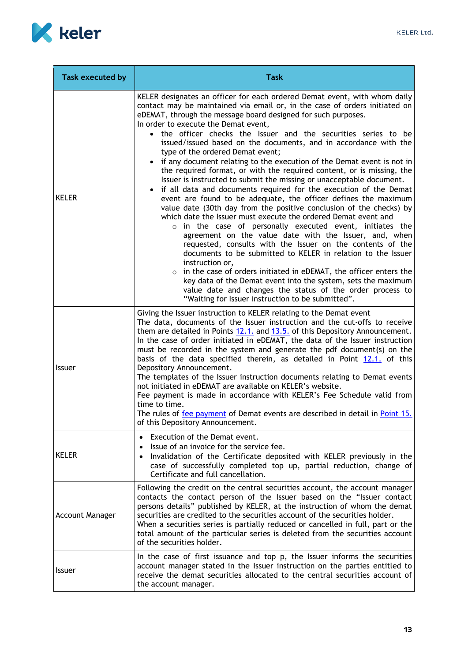

<span id="page-13-0"></span>

| Task executed by       | <b>Task</b>                                                                                                                                                                                                                                                                                                                                                                                                                                                                                                                                                                                                                                                                                                                                                                                                                                                                                                                                                                                                                                                                                                                                                                                                                                                                                                                                                                                                                                                                                     |
|------------------------|-------------------------------------------------------------------------------------------------------------------------------------------------------------------------------------------------------------------------------------------------------------------------------------------------------------------------------------------------------------------------------------------------------------------------------------------------------------------------------------------------------------------------------------------------------------------------------------------------------------------------------------------------------------------------------------------------------------------------------------------------------------------------------------------------------------------------------------------------------------------------------------------------------------------------------------------------------------------------------------------------------------------------------------------------------------------------------------------------------------------------------------------------------------------------------------------------------------------------------------------------------------------------------------------------------------------------------------------------------------------------------------------------------------------------------------------------------------------------------------------------|
| <b>KELER</b>           | KELER designates an officer for each ordered Demat event, with whom daily<br>contact may be maintained via email or, in the case of orders initiated on<br>eDEMAT, through the message board designed for such purposes.<br>In order to execute the Demat event,<br>• the officer checks the Issuer and the securities series to be<br>issued/issued based on the documents, and in accordance with the<br>type of the ordered Demat event;<br>if any document relating to the execution of the Demat event is not in<br>the required format, or with the required content, or is missing, the<br>Issuer is instructed to submit the missing or unacceptable document.<br>if all data and documents required for the execution of the Demat<br>event are found to be adequate, the officer defines the maximum<br>value date (30th day from the positive conclusion of the checks) by<br>which date the Issuer must execute the ordered Demat event and<br>o in the case of personally executed event, initiates the<br>agreement on the value date with the Issuer, and, when<br>requested, consults with the Issuer on the contents of the<br>documents to be submitted to KELER in relation to the Issuer<br>instruction or,<br>$\circ$ in the case of orders initiated in eDEMAT, the officer enters the<br>key data of the Demat event into the system, sets the maximum<br>value date and changes the status of the order process to<br>"Waiting for Issuer instruction to be submitted". |
| <b>Issuer</b>          | Giving the Issuer instruction to KELER relating to the Demat event<br>The data, documents of the Issuer instruction and the cut-offs to receive<br>them are detailed in Points 12.1. and 13.5. of this Depository Announcement.<br>In the case of order initiated in eDEMAT, the data of the Issuer instruction<br>must be recorded in the system and generate the pdf document(s) on the<br>basis of the data specified therein, as detailed in Point 12.1, of this<br>Depository Announcement.<br>The templates of the Issuer instruction documents relating to Demat events<br>not initiated in eDEMAT are available on KELER's website.<br>Fee payment is made in accordance with KELER's Fee Schedule valid from<br>time to time.<br>The rules of fee payment of Demat events are described in detail in Point 15.<br>of this Depository Announcement.                                                                                                                                                                                                                                                                                                                                                                                                                                                                                                                                                                                                                                     |
| <b>KELER</b>           | Execution of the Demat event.<br>Issue of an invoice for the service fee.<br>Invalidation of the Certificate deposited with KELER previously in the<br>case of successfully completed top up, partial reduction, change of<br>Certificate and full cancellation.                                                                                                                                                                                                                                                                                                                                                                                                                                                                                                                                                                                                                                                                                                                                                                                                                                                                                                                                                                                                                                                                                                                                                                                                                                |
| <b>Account Manager</b> | Following the credit on the central securities account, the account manager<br>contacts the contact person of the Issuer based on the "Issuer contact<br>persons details" published by KELER, at the instruction of whom the demat<br>securities are credited to the securities account of the securities holder.<br>When a securities series is partially reduced or cancelled in full, part or the<br>total amount of the particular series is deleted from the securities account<br>of the securities holder.                                                                                                                                                                                                                                                                                                                                                                                                                                                                                                                                                                                                                                                                                                                                                                                                                                                                                                                                                                               |
| <b>Issuer</b>          | In the case of first issuance and top $p$ , the Issuer informs the securities<br>account manager stated in the Issuer instruction on the parties entitled to<br>receive the demat securities allocated to the central securities account of<br>the account manager.                                                                                                                                                                                                                                                                                                                                                                                                                                                                                                                                                                                                                                                                                                                                                                                                                                                                                                                                                                                                                                                                                                                                                                                                                             |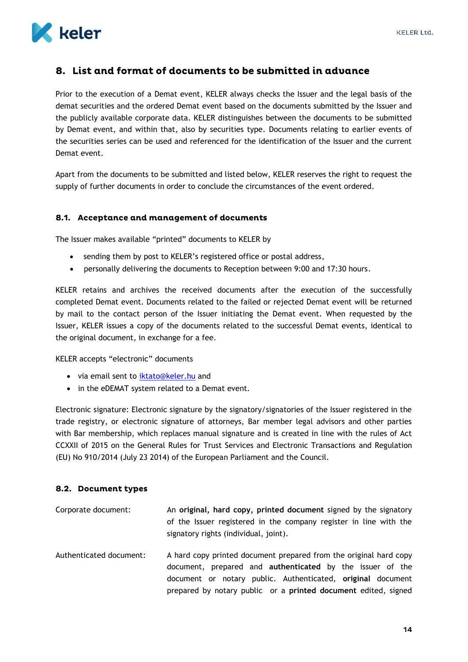

## <span id="page-14-0"></span>8. List and format of documents to be submitted in advance

Prior to the execution of a Demat event, KELER always checks the Issuer and the legal basis of the demat securities and the ordered Demat event based on the documents submitted by the Issuer and the publicly available corporate data. KELER distinguishes between the documents to be submitted by Demat event, and within that, also by securities type. Documents relating to earlier events of the securities series can be used and referenced for the identification of the Issuer and the current Demat event.

Apart from the documents to be submitted and listed below, KELER reserves the right to request the supply of further documents in order to conclude the circumstances of the event ordered.

#### <span id="page-14-1"></span>8.1. Acceptance and management of documents

The Issuer makes available "printed" documents to KELER by

- sending them by post to KELER's registered office or postal address,
- personally delivering the documents to Reception between 9:00 and 17:30 hours.

KELER retains and archives the received documents after the execution of the successfully completed Demat event. Documents related to the failed or rejected Demat event will be returned by mail to the contact person of the Issuer initiating the Demat event. When requested by the Issuer, KELER issues a copy of the documents related to the successful Demat events, identical to the original document, in exchange for a fee.

KELER accepts "electronic" documents

- via email sent to [iktato@keler.hu](file:///C:/Users/tarjanyid/AppData/Local/Microsoft/Windows/Temporary%20Internet%20Files/Content.Outlook/DLB633QI/in%20the%20eDEMAT%20system%20in%20relation%20to%20demat%20events) and
- in the eDEMAT system related to a Demat event.

Electronic signature: Electronic signature by the signatory/signatories of the Issuer registered in the trade registry, or electronic signature of attorneys, Bar member legal advisors and other parties with Bar membership, which replaces manual signature and is created in line with the rules of Act CCXXII of 2015 on the General Rules for Trust Services and Electronic Transactions and Regulation (EU) No 910/2014 (July 23 2014) of the European Parliament and the Council.

#### <span id="page-14-2"></span>8.2. Document types

| Corporate document:     | An original, hard copy, printed document signed by the signatory<br>of the Issuer registered in the company register in line with the<br>signatory rights (individual, joint).                                                                                         |
|-------------------------|------------------------------------------------------------------------------------------------------------------------------------------------------------------------------------------------------------------------------------------------------------------------|
| Authenticated document: | A hard copy printed document prepared from the original hard copy<br>document, prepared and <b>authenticated</b> by the issuer of the<br>document or notary public. Authenticated, original document<br>prepared by notary public or a printed document edited, signed |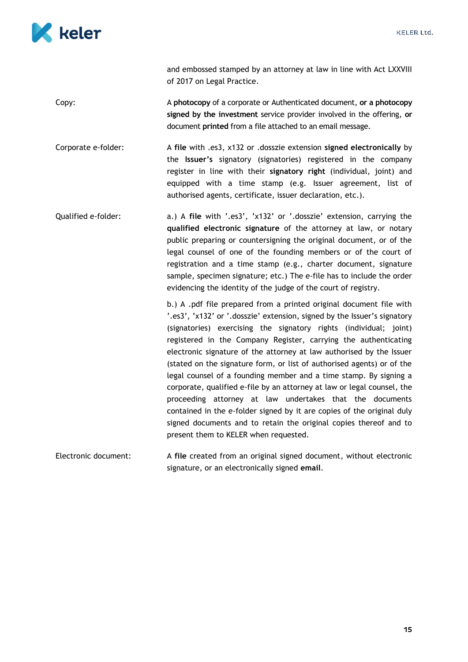

and embossed stamped by an attorney at law in line with Act LXXVIII of 2017 on Legal Practice. Copy: A **photocopy** of a corporate or Authenticated document, **or a photocopy signed by the investment** service provider involved in the offering, **or** document **printed** from a file attached to an email message. Corporate e-folder: A **file** with .es3, x132 or .dosszie extension **signed electronically** by the **Issuer's** signatory (signatories) registered in the company register in line with their **signatory right** (individual, joint) and equipped with a time stamp (e.g. Issuer agreement, list of authorised agents, certificate, issuer declaration, etc.). Qualified e-folder: a.) A **file** with '.es3', 'x132' or '.dosszie' extension, carrying the **qualified electronic signature** of the attorney at law, or notary public preparing or countersigning the original document, or of the legal counsel of one of the founding members or of the court of registration and a time stamp (e.g., charter document, signature sample, specimen signature; etc.) The e-file has to include the order evidencing the identity of the judge of the court of registry. b.) A .pdf file prepared from a printed original document file with '.es3', 'x132' or '.dosszie' extension, signed by the Issuer's signatory (signatories) exercising the signatory rights (individual; joint) registered in the Company Register, carrying the authenticating electronic signature of the attorney at law authorised by the Issuer (stated on the signature form, or list of authorised agents) or of the legal counsel of a founding member and a time stamp. By signing a corporate, qualified e-file by an attorney at law or legal counsel, the proceeding attorney at law undertakes that the documents contained in the e-folder signed by it are copies of the original duly signed documents and to retain the original copies thereof and to present them to KELER when requested. Electronic document: A **file** created from an original signed document, without electronic

signature, or an electronically signed **email**.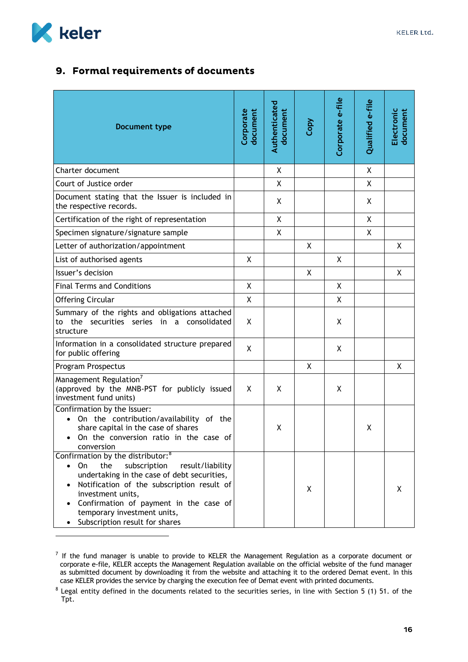

-

## <span id="page-16-0"></span>9. Formal requirements of documents

| Document type                                                                                                                                                                                                                                                                                                                            | Corporate<br>document | Authenticated<br>document | Copy         | Corporate e-file | Qualified e-file | Electronic<br>document |
|------------------------------------------------------------------------------------------------------------------------------------------------------------------------------------------------------------------------------------------------------------------------------------------------------------------------------------------|-----------------------|---------------------------|--------------|------------------|------------------|------------------------|
| Charter document                                                                                                                                                                                                                                                                                                                         |                       | X                         |              |                  | X                |                        |
| Court of Justice order                                                                                                                                                                                                                                                                                                                   |                       | $\mathsf{X}$              |              |                  | $\mathsf{X}$     |                        |
| Document stating that the Issuer is included in<br>the respective records.                                                                                                                                                                                                                                                               |                       | X                         |              |                  | X.               |                        |
| Certification of the right of representation                                                                                                                                                                                                                                                                                             |                       | X                         |              |                  | Χ                |                        |
| Specimen signature/signature sample                                                                                                                                                                                                                                                                                                      |                       | X                         |              |                  | X                |                        |
| Letter of authorization/appointment                                                                                                                                                                                                                                                                                                      |                       |                           | X            |                  |                  | X                      |
| List of authorised agents                                                                                                                                                                                                                                                                                                                | Χ                     |                           |              | X                |                  |                        |
| Issuer's decision                                                                                                                                                                                                                                                                                                                        |                       |                           | $\mathsf{X}$ |                  |                  | X                      |
| <b>Final Terms and Conditions</b>                                                                                                                                                                                                                                                                                                        | X                     |                           |              | X                |                  |                        |
| <b>Offering Circular</b>                                                                                                                                                                                                                                                                                                                 | X                     |                           |              | X                |                  |                        |
| Summary of the rights and obligations attached<br>to the securities series in a consolidated<br>structure                                                                                                                                                                                                                                | X                     |                           |              | X                |                  |                        |
| Information in a consolidated structure prepared<br>for public offering                                                                                                                                                                                                                                                                  | X                     |                           |              | X                |                  |                        |
| Program Prospectus                                                                                                                                                                                                                                                                                                                       |                       |                           | X            |                  |                  | X                      |
| Management Regulation <sup>7</sup><br>(approved by the MNB-PST for publicly issued<br>investment fund units)                                                                                                                                                                                                                             | X                     | X                         |              | X                |                  |                        |
| Confirmation by the Issuer:<br>On the contribution/availability of the<br>$\bullet$<br>share capital in the case of shares<br>On the conversion ratio in the case of<br>$\bullet$<br>conversion                                                                                                                                          |                       | X                         |              |                  | Χ                |                        |
| Confirmation by the distributor: <sup>8</sup><br>the<br>subscription<br>On<br>result/liability<br>$\bullet$<br>undertaking in the case of debt securities,<br>Notification of the subscription result of<br>investment units,<br>Confirmation of payment in the case of<br>temporary investment units,<br>Subscription result for shares |                       |                           | X            |                  |                  | X                      |

 $<sup>7</sup>$  If the fund manager is unable to provide to KELER the Management Regulation as a corporate document or</sup> corporate e-file, KELER accepts the Management Regulation available on the official website of the fund manager as submitted document by downloading it from the website and attaching it to the ordered Demat event. In this case KELER provides the service by charging the execution fee of Demat event with printed documents.

 $8$  Legal entity defined in the documents related to the securities series, in line with Section 5 (1) 51. of the Tpt.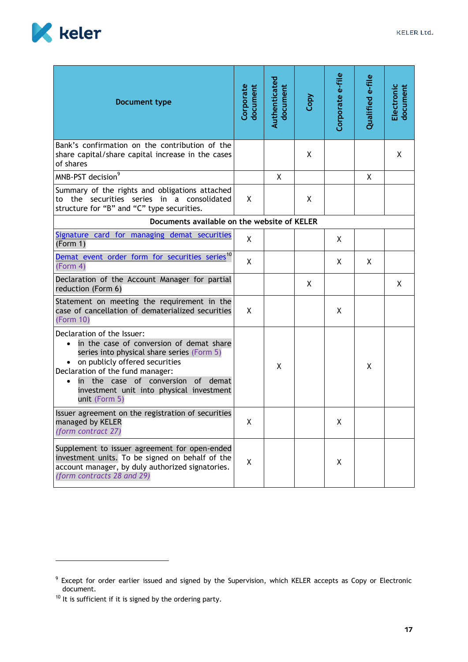

| KELER Ltd. |
|------------|
|            |

| Document type                                                                                                                                                                                                                                                                                   | Corporate<br>document | Authenticated<br>document | Copy | Corporate e-file | Qualified e-file | Electronic<br>document |
|-------------------------------------------------------------------------------------------------------------------------------------------------------------------------------------------------------------------------------------------------------------------------------------------------|-----------------------|---------------------------|------|------------------|------------------|------------------------|
| Bank's confirmation on the contribution of the<br>share capital/share capital increase in the cases<br>of shares                                                                                                                                                                                |                       |                           | X    |                  |                  | Χ                      |
| MNB-PST decision <sup>9</sup>                                                                                                                                                                                                                                                                   |                       | X                         |      |                  | X                |                        |
| Summary of the rights and obligations attached<br>to the securities series in a consolidated<br>structure for "B" and "C" type securities.                                                                                                                                                      | X                     |                           | X    |                  |                  |                        |
| Documents available on the website of KELER                                                                                                                                                                                                                                                     |                       |                           |      |                  |                  |                        |
| Signature card for managing demat securities<br>(Form 1)                                                                                                                                                                                                                                        | X                     |                           |      | X                |                  |                        |
| Demat event order form for securities series <sup>10</sup><br>(Form 4)                                                                                                                                                                                                                          | X                     |                           |      | X                | X                |                        |
| Declaration of the Account Manager for partial<br>reduction (Form 6)                                                                                                                                                                                                                            |                       |                           | X    |                  |                  | X                      |
| Statement on meeting the requirement in the<br>case of cancellation of dematerialized securities<br>(Form 10)                                                                                                                                                                                   | X                     |                           |      | X                |                  |                        |
| Declaration of the Issuer:<br>in the case of conversion of demat share<br>series into physical share series (Form 5)<br>• on publicly offered securities<br>Declaration of the fund manager:<br>in the case of conversion of demat<br>investment unit into physical investment<br>unit (Form 5) |                       | X                         |      |                  | X                |                        |
| Issuer agreement on the registration of securities<br>managed by KELER<br>(form contract 27)                                                                                                                                                                                                    | X                     |                           |      | Χ                |                  |                        |
| Supplement to issuer agreement for open-ended<br>investment units. To be signed on behalf of the<br>account manager, by duly authorized signatories.<br>(form contracts 28 and 29)                                                                                                              | X                     |                           |      | X                |                  |                        |

<sup>&</sup>lt;sup>9</sup> Except for order earlier issued and signed by the Supervision, which KELER accepts as Copy or Electronic document.

 $10$  It is sufficient if it is signed by the ordering party.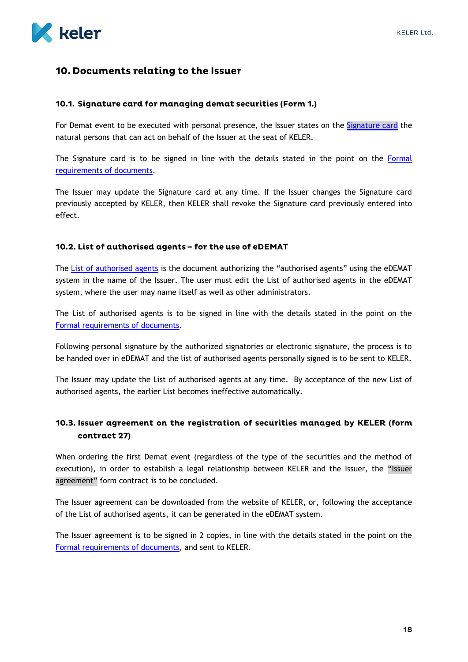

## <span id="page-18-0"></span>10. Documents relating to the Issuer

#### <span id="page-18-1"></span>10.1. Signature card for managing demat securities (Form 1.)

For Demat event to be executed with personal presence, the Issuer states on the [Signature card](https://www.keler.hu/Dokumentumtár/Formanyomtatványok/Aláírásbejelentő%20lap%20dematerializált%20értékpapírok%20kezeléséhez/Befjegy2014%2006%2012%201%20alairás%20bejelentő%20lap.pdf) the natural persons that can act on behalf of the Issuer at the seat of KELER.

The Signature card is to be signed in line with the details stated in the point on the [Formal](#page-16-0)  [requirements of documents.](#page-16-0)

The Issuer may update the Signature card at any time. If the Issuer changes the Signature card previously accepted by KELER, then KELER shall revoke the Signature card previously entered into effect.

#### <span id="page-18-2"></span>10.2. List of authorised agents - for the use of eDEMAT

<span id="page-18-4"></span>The [List of authorised agents](#page-18-4) is the document authorizing the "authorised agents" using the eDEMAT system in the name of the Issuer. The user must edit the List of authorised agents in the eDEMAT system, where the user may name itself as well as other administrators.

The List of authorised agents is to be signed in line with the details stated in the point on the [Formal requirements of documents.](#page-16-0)

Following personal signature by the authorized signatories or electronic signature, the process is to be handed over in eDEMAT and the list of authorised agents personally signed is to be sent to KELER.

The Issuer may update the List of authorised agents at any time. By acceptance of the new List of authorised agents, the earlier List becomes ineffective automatically.

## <span id="page-18-3"></span>10.3. Issuer agreement on the registration of securities managed by KELER (form contract 27)

When ordering the first Demat event (regardless of the type of the securities and the method of execution), in order to establish a legal relationship between KELER and the Issuer, the "Issuer agreement" form contract is to be concluded.

The Issuer agreement can be downloaded from the website of KELER, or, following the acceptance of the List of authorised agents, it can be generated in the eDEMAT system.

The Issuer agreement is to be signed in 2 copies, in line with the details stated in the point on the [Formal requirements of documents,](#page-16-0) and sent to KELER.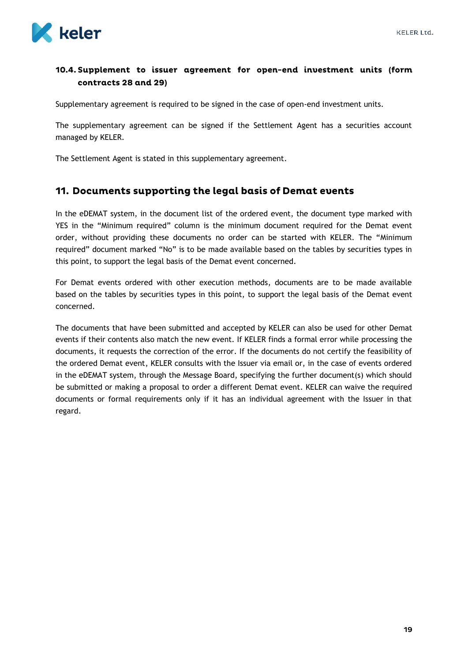

## <span id="page-19-0"></span>10.4. Supplement to issuer agreement for open-end investment units (form contracts 28 and 29)

Supplementary agreement is required to be signed in the case of open-end investment units.

The supplementary agreement can be signed if the Settlement Agent has a securities account managed by KELER.

The Settlement Agent is stated in this supplementary agreement.

#### <span id="page-19-1"></span>11. Documents supporting the legal basis of Demat events

In the eDEMAT system, in the document list of the ordered event, the document type marked with YES in the "Minimum required" column is the minimum document required for the Demat event order, without providing these documents no order can be started with KELER. The "Minimum required" document marked "No" is to be made available based on the tables by securities types in this point, to support the legal basis of the Demat event concerned.

For Demat events ordered with other execution methods, documents are to be made available based on the tables by securities types in this point, to support the legal basis of the Demat event concerned.

The documents that have been submitted and accepted by KELER can also be used for other Demat events if their contents also match the new event. If KELER finds a formal error while processing the documents, it requests the correction of the error. If the documents do not certify the feasibility of the ordered Demat event, KELER consults with the Issuer via email or, in the case of events ordered in the eDEMAT system, through the Message Board, specifying the further document(s) which should be submitted or making a proposal to order a different Demat event. KELER can waive the required documents or formal requirements only if it has an individual agreement with the Issuer in that regard.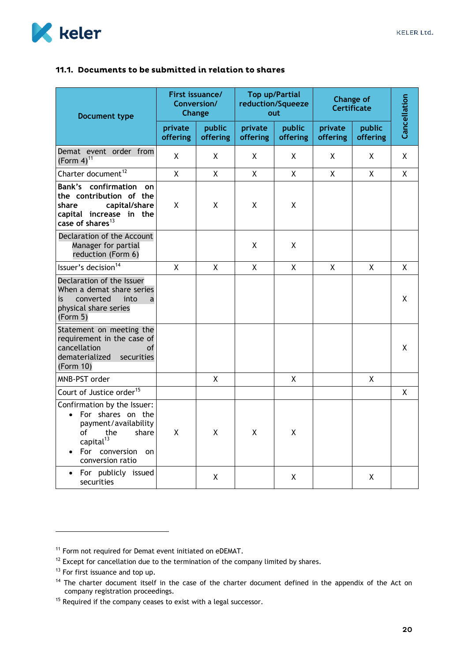<span id="page-20-0"></span>

| <b>Document type</b>                                                                                                                                                   | First issuance/<br>Conversion/<br>Change |                    |                     | <b>Top up/Partial</b><br>reduction/Squeeze<br>out | <b>Change of</b><br><b>Certificate</b> | Cancellation       |   |
|------------------------------------------------------------------------------------------------------------------------------------------------------------------------|------------------------------------------|--------------------|---------------------|---------------------------------------------------|----------------------------------------|--------------------|---|
|                                                                                                                                                                        | private<br>offering                      | public<br>offering | private<br>offering | public<br>offering                                | private<br>offering                    | public<br>offering |   |
| Demat event order from<br>(Form $4)^{11}$                                                                                                                              | X                                        | X                  | X                   | X                                                 | X                                      | X                  | X |
| Charter document <sup>12</sup>                                                                                                                                         | X                                        | X                  | X                   | X                                                 | X                                      | X                  | X |
| <b>Bank's</b> confirmation<br>on<br>the contribution of the<br>capital/share<br>share<br>capital increase in the<br>case of shares $^{13}$                             | X                                        | X                  | X                   | X                                                 |                                        |                    |   |
| Declaration of the Account<br>Manager for partial<br>reduction (Form 6)                                                                                                |                                          |                    | X                   | X.                                                |                                        |                    |   |
| Issuer's decision <sup>14</sup>                                                                                                                                        | $\mathsf{X}$                             | X                  | X                   | X                                                 | X                                      | X                  | X |
| Declaration of the Issuer<br>When a demat share series<br>converted<br>into<br>is<br>a<br>physical share series<br>(Form 5)                                            |                                          |                    |                     |                                                   |                                        |                    | Χ |
| Statement on meeting the<br>requirement in the case of<br>cancellation<br>of<br>dematerialized<br>securities<br>(Form 10)                                              |                                          |                    |                     |                                                   |                                        |                    | X |
| MNB-PST order                                                                                                                                                          |                                          | X                  |                     | X                                                 |                                        | X                  |   |
| Court of Justice order <sup>15</sup>                                                                                                                                   |                                          |                    |                     |                                                   |                                        |                    | X |
| Confirmation by the Issuer:<br>For shares on the<br>payment/availability<br>of<br>the<br>share<br>capital <sup>13</sup><br>For<br>conversion<br>on<br>conversion ratio | X                                        | X                  | X                   | X                                                 |                                        |                    |   |
| For publicly issued<br>securities                                                                                                                                      |                                          | X                  |                     | X                                                 |                                        | X                  |   |

-

<sup>&</sup>lt;sup>11</sup> Form not required for Demat event initiated on eDEMAT.

 $12$  Except for cancellation due to the termination of the company limited by shares.

<sup>&</sup>lt;sup>13</sup> For first issuance and top up.

<sup>&</sup>lt;sup>14</sup> The charter document itself in the case of the charter document defined in the appendix of the Act on company registration proceedings.

<sup>&</sup>lt;sup>15</sup> Required if the company ceases to exist with a legal successor.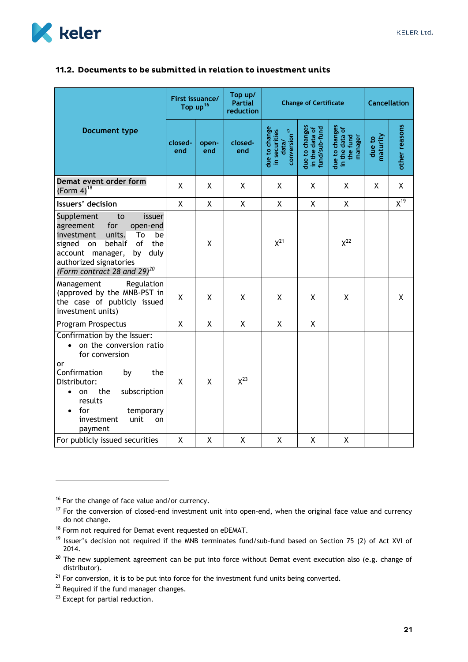

#### <span id="page-21-0"></span>11.2. Documents to be submitted in relation to investment units

|                                                                                                                                                                                                                                        | First issuance/<br>Top up <sup>16</sup> |              | Top up/<br><b>Partial</b><br>reduction | <b>Change of Certificate</b>                                        |                                                   |                                                         | <b>Cancellation</b> |               |
|----------------------------------------------------------------------------------------------------------------------------------------------------------------------------------------------------------------------------------------|-----------------------------------------|--------------|----------------------------------------|---------------------------------------------------------------------|---------------------------------------------------|---------------------------------------------------------|---------------------|---------------|
| <b>Document type</b>                                                                                                                                                                                                                   | closed-<br>end                          | open-<br>end | closed-<br>end                         | due to change<br>in securities<br>conversion <sup>17</sup><br>data/ | due to changes<br>in the data of<br>fund/sub-fund | due to changes<br>in the data of<br>the fund<br>manager | naturity<br>due to  | other reasons |
| Demat event order form<br>(Form $4)^{18}$                                                                                                                                                                                              | χ                                       | X            | X                                      | X                                                                   | X                                                 | X                                                       | X                   | X             |
| Issuers' decision                                                                                                                                                                                                                      | X                                       | Χ            | Χ                                      | X                                                                   | X                                                 | X                                                       |                     | $X^{19}$      |
| Supplement<br>to<br>issuer<br>for<br>agreement<br>open-end<br>units.<br>investment<br>To<br>be<br>of<br>the<br>behalf<br>signed<br>on<br>duly<br>account manager,<br>by<br>authorized signatories<br>(Form contract 28 and 29) $^{20}$ |                                         | X            |                                        | $X^{21}$                                                            |                                                   | $X^{22}$                                                |                     |               |
| Management<br>Regulation<br>(approved by the MNB-PST in<br>the case of publicly issued<br>investment units)                                                                                                                            | X                                       | X            | X                                      | X                                                                   | X                                                 | X                                                       |                     | X             |
| Program Prospectus                                                                                                                                                                                                                     | $\mathsf{X}$                            | $\mathsf{X}$ | $\mathsf{X}$                           | $\mathsf{X}$                                                        | $\mathsf{X}$                                      |                                                         |                     |               |
| Confirmation by the Issuer:<br>on the conversion ratio<br>for conversion<br>or<br>Confirmation<br>the<br>by<br>Distributor:<br>subscription<br>the<br>on<br>results<br>for<br>temporary<br>unit<br>investment<br>on<br>payment         | X                                       | X            | $X^{23}$                               |                                                                     |                                                   |                                                         |                     |               |
| For publicly issued securities                                                                                                                                                                                                         | X                                       | Χ            | X                                      | X                                                                   | X                                                 | X                                                       |                     |               |

<sup>&</sup>lt;sup>16</sup> For the change of face value and/or currency.

 $17$  For the conversion of closed-end investment unit into open-end, when the original face value and currency do not change.

<sup>18</sup> Form not required for Demat event requested on eDEMAT.

<sup>&</sup>lt;sup>19</sup> Issuer's decision not required if the MNB terminates fund/sub-fund based on Section 75 (2) of Act XVI of 2014.

 $20$  The new supplement agreement can be put into force without Demat event execution also (e.g. change of distributor).

 $21$  For conversion, it is to be put into force for the investment fund units being converted.

<sup>&</sup>lt;sup>22</sup> Required if the fund manager changes.

<sup>&</sup>lt;sup>23</sup> Except for partial reduction.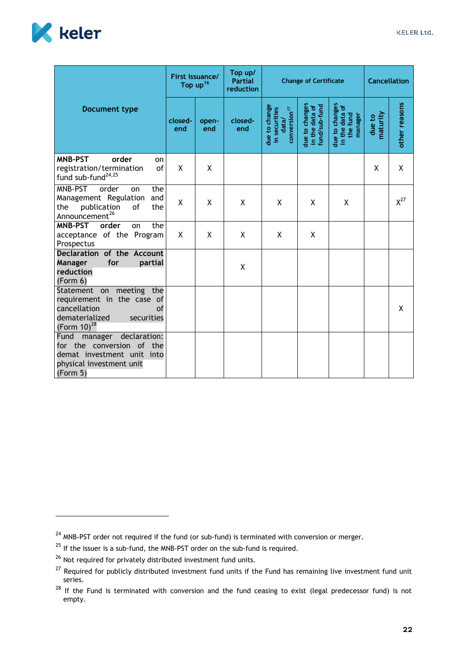

|                                                                                                                                    | First issuance/<br>Top $up^{16}$ |              | Top up/<br><b>Partial</b><br>reduction | <b>Change of Certificate</b>                                        | <b>Cancellation</b>                               |                                                         |                    |               |
|------------------------------------------------------------------------------------------------------------------------------------|----------------------------------|--------------|----------------------------------------|---------------------------------------------------------------------|---------------------------------------------------|---------------------------------------------------------|--------------------|---------------|
| <b>Document type</b>                                                                                                               | closed-<br>end                   | open-<br>end | closed-<br>end                         | due to change<br>in securities<br>conversion <sup>17</sup><br>data/ | due to changes<br>in the data of<br>fund/sub-fund | due to changes<br>in the data of<br>the fund<br>manager | maturity<br>due to | other reasons |
| <b>MNB-PST</b><br>order<br>on<br>registration/termination<br>of<br>fund sub-fund <sup>24,25</sup>                                  | X                                | X            |                                        |                                                                     |                                                   |                                                         | X                  | X             |
| MNB-PST<br>order<br>the<br>on<br>Management Regulation<br>and<br>publication<br>the<br>the<br>οf<br>Announcement <sup>26</sup>     | Χ                                | X            | X                                      | X                                                                   | X                                                 | X                                                       |                    | $X^{27}$      |
| <b>MNB-PST</b><br>order<br>the<br>on<br>acceptance of the Program<br>Prospectus                                                    | X                                | X            | X                                      | X                                                                   | X                                                 |                                                         |                    |               |
| Declaration of the Account<br>Manager<br>for<br>partial<br>reduction<br>(Form 6)                                                   |                                  |              | Χ                                      |                                                                     |                                                   |                                                         |                    |               |
| Statement on meeting the<br>requirement in the case of<br>cancellation<br>of<br>dematerialized<br>securities<br>(Form $10^{28}$    |                                  |              |                                        |                                                                     |                                                   |                                                         |                    | X             |
| declaration:<br>Fund<br>manager<br>for the conversion of the<br>demat investment unit into<br>physical investment unit<br>(Form 5) |                                  |              |                                        |                                                                     |                                                   |                                                         |                    |               |

<sup>&</sup>lt;sup>24</sup> MNB-PST order not required if the fund (or sub-fund) is terminated with conversion or merger.

 $25$  If the issuer is a sub-fund, the MNB-PST order on the sub-fund is required.

<sup>&</sup>lt;sup>26</sup> Not required for privately distributed investment fund units.

<sup>&</sup>lt;sup>27</sup> Required for publicly distributed investment fund units if the Fund has remaining live investment fund unit series.

<sup>&</sup>lt;sup>28</sup> If the Fund is terminated with conversion and the fund ceasing to exist (legal predecessor fund) is not empty.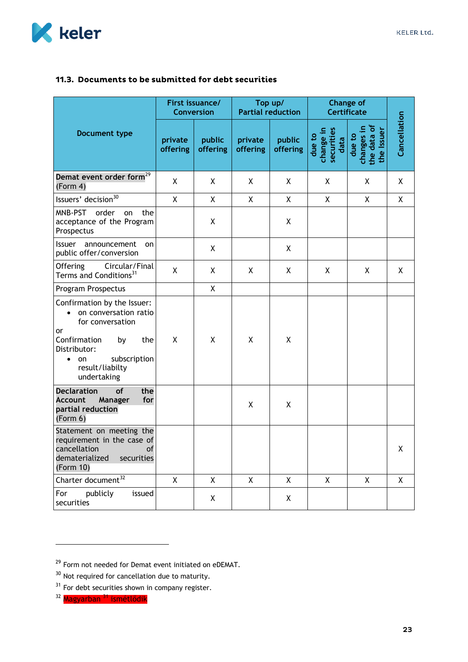

## <span id="page-23-0"></span>11.3. Documents to be submitted for debt securities

|                                                                                                                                                                                          | First issuance/<br><b>Conversion</b> |                    | Top up/<br><b>Partial reduction</b> |                    | <b>Change of</b><br><b>Certificate</b>    |                                                             |              |
|------------------------------------------------------------------------------------------------------------------------------------------------------------------------------------------|--------------------------------------|--------------------|-------------------------------------|--------------------|-------------------------------------------|-------------------------------------------------------------|--------------|
| Document type                                                                                                                                                                            | private<br>offering                  | public<br>offering | private<br>offering                 | public<br>offering | change in<br>securities<br>due to<br>data | the data of<br>changes in<br><b>Issuer</b><br>due to<br>the | Cancellation |
| Demat event order form <sup>29</sup><br>(Form 4)                                                                                                                                         | X                                    | X                  | X                                   | Χ                  | Χ                                         | Χ                                                           | X            |
| Issuers' decision <sup>30</sup>                                                                                                                                                          | $\mathsf{X}$                         | $\mathsf{X}$       | $\mathsf{X}$                        | X                  | X                                         | $\mathsf{X}$                                                | X            |
| MNB-PST<br>order<br>the<br>on<br>acceptance of the Program<br>Prospectus                                                                                                                 |                                      | X                  |                                     | X                  |                                           |                                                             |              |
| <b>Issuer</b><br>announcement<br>on<br>public offer/conversion                                                                                                                           |                                      | X                  |                                     | X                  |                                           |                                                             |              |
| Circular/Final<br><b>Offering</b><br>Terms and Conditions <sup>31</sup>                                                                                                                  | χ                                    | X                  | X                                   | X                  | X                                         | X                                                           | X            |
| Program Prospectus                                                                                                                                                                       |                                      | X                  |                                     |                    |                                           |                                                             |              |
| Confirmation by the Issuer:<br>on conversation ratio<br>for conversation<br>or<br>Confirmation<br>by<br>the<br>Distributor:<br>subscription<br>on<br>٠<br>result/liabilty<br>undertaking | X                                    | X                  | X                                   | X                  |                                           |                                                             |              |
| <b>Declaration</b><br>of<br>the<br><b>Account</b><br>Manager<br>for<br>partial reduction<br>(Form 6)                                                                                     |                                      |                    | X                                   | X                  |                                           |                                                             |              |
| Statement on meeting the<br>requirement in the case of<br><b>cancellation cancellation</b><br><b>of</b><br>dematerialized<br>securities<br>(Form 10)                                     |                                      |                    |                                     |                    |                                           |                                                             | X            |
| Charter document <sup>32</sup>                                                                                                                                                           | $\mathsf{X}$                         | $\mathsf{X}$       | $\mathsf{X}$                        | X                  | X                                         | $\mathsf{X}$                                                | X            |
| publicly<br>For<br>issued<br>securities                                                                                                                                                  |                                      | X                  |                                     | X                  |                                           |                                                             |              |

<sup>&</sup>lt;sup>29</sup> Form not needed for Demat event initiated on eDEMAT.

 $30$  Not required for cancellation due to maturity.

 $31$  For debt securities shown in company register.

<sup>&</sup>lt;sup>32</sup> Magyarban <sup>31</sup> ismétlődik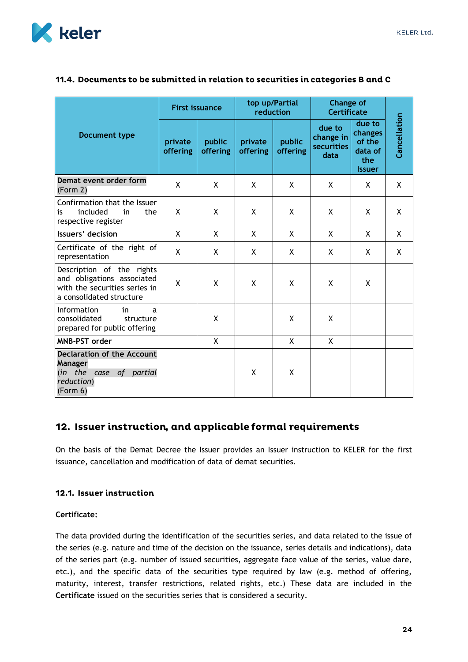

|                                                                                                                      | <b>First issuance</b> |                    | top up/Partial<br>reduction |                    | <b>Change of</b><br><b>Certificate</b>           |                                                                |              |
|----------------------------------------------------------------------------------------------------------------------|-----------------------|--------------------|-----------------------------|--------------------|--------------------------------------------------|----------------------------------------------------------------|--------------|
| <b>Document type</b>                                                                                                 | private<br>offering   | public<br>offering | private<br>offering         | public<br>offering | due to<br>change in<br><b>securities</b><br>data | due to<br>changes<br>of the<br>data of<br>the<br><b>Issuer</b> | Cancellation |
| Demat event order form<br>(Form 2)                                                                                   | X                     | X                  | X                           | X                  | X                                                | X                                                              | X            |
| Confirmation that the Issuer<br>included<br>is<br>in<br>the<br>respective register                                   | X                     | X                  | X                           | X                  | X                                                | X                                                              | X            |
| Issuers' decision                                                                                                    | X                     | $\mathsf{X}$       | X                           | X                  | $\mathsf{X}$                                     | X                                                              | X            |
| Certificate of the right of<br>representation                                                                        | X                     | X                  | X                           | X                  | X                                                | X                                                              | X            |
| Description of the rights<br>and obligations associated<br>with the securities series in<br>a consolidated structure | X                     | X                  | X                           | X                  | X                                                | X                                                              |              |
| Information<br>in<br>a<br>consolidated<br>structure<br>prepared for public offering                                  |                       | X                  |                             | X                  | X                                                |                                                                |              |
| <b>MNB-PST order</b>                                                                                                 |                       | X                  |                             | X                  | X                                                |                                                                |              |
| <b>Declaration of the Account</b><br>Manager<br>(in the case<br>of partial<br>reduction)<br>(Form 6)                 |                       |                    | X                           | X                  |                                                  |                                                                |              |

#### <span id="page-24-0"></span>11.4. Documents to be submitted in relation to securities in categories B and C

## <span id="page-24-1"></span>12. Issuer instruction, and applicable formal requirements

On the basis of the Demat Decree the Issuer provides an Issuer instruction to KELER for the first issuance, cancellation and modification of data of demat securities.

#### <span id="page-24-2"></span>12.1. Issuer instruction

#### **Certificate:**

The data provided during the identification of the securities series, and data related to the issue of the series (e.g. nature and time of the decision on the issuance, series details and indications), data of the series part (e.g. number of issued securities, aggregate face value of the series, value dare, etc.), and the specific data of the securities type required by law (e.g. method of offering, maturity, interest, transfer restrictions, related rights, etc.) These data are included in the **Certificate** issued on the securities series that is considered a security.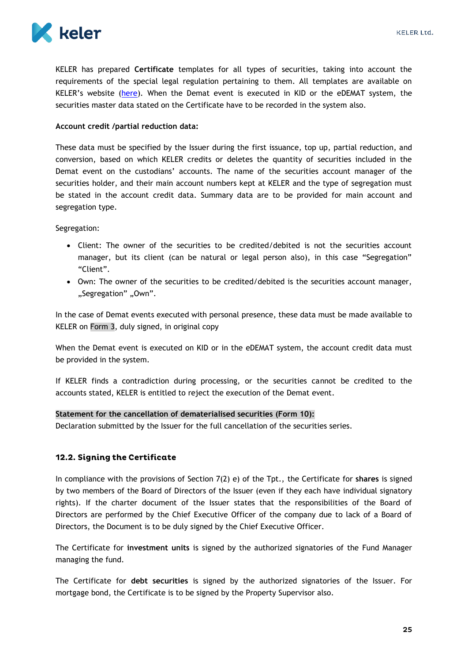

KELER has prepared **Certificate** templates for all types of securities, taking into account the requirements of the special legal regulation pertaining to them. All templates are available on KELER's website ([here\)](https://english.keler.hu/Key%20documents/Business%20Forms/). When the Demat event is executed in KID or the eDEMAT system, the securities master data stated on the Certificate have to be recorded in the system also.

#### **Account credit /partial reduction data:**

These data must be specified by the Issuer during the first issuance, top up, partial reduction, and conversion, based on which KELER credits or deletes the quantity of securities included in the Demat event on the custodians' accounts. The name of the securities account manager of the securities holder, and their main account numbers kept at KELER and the type of segregation must be stated in the account credit data. Summary data are to be provided for main account and segregation type.

Segregation:

- Client: The owner of the securities to be credited/debited is not the securities account manager, but its client (can be natural or legal person also), in this case "Segregation" "Client".
- Own: The owner of the securities to be credited/debited is the securities account manager, "Segregation" "Own".

In the case of Demat events executed with personal presence, these data must be made available to KELER on Form 3, duly signed, in original copy

When the Demat event is executed on KID or in the eDEMAT system, the account credit data must be provided in the system.

If KELER finds a contradiction during processing, or the securities cannot be credited to the accounts stated, KELER is entitled to reject the execution of the Demat event.

#### **Statement for the cancellation of dematerialised securities (Form 10):**

Declaration submitted by the Issuer for the full cancellation of the securities series.

#### <span id="page-25-0"></span>12.2. Signing the Certificate

In compliance with the provisions of Section 7(2) e) of the Tpt., the Certificate for **shares** is signed by two members of the Board of Directors of the Issuer (even if they each have individual signatory rights). If the charter document of the Issuer states that the responsibilities of the Board of Directors are performed by the Chief Executive Officer of the company due to lack of a Board of Directors, the Document is to be duly signed by the Chief Executive Officer.

The Certificate for **investment units** is signed by the authorized signatories of the Fund Manager managing the fund.

The Certificate for **debt securities** is signed by the authorized signatories of the Issuer. For mortgage bond, the Certificate is to be signed by the Property Supervisor also.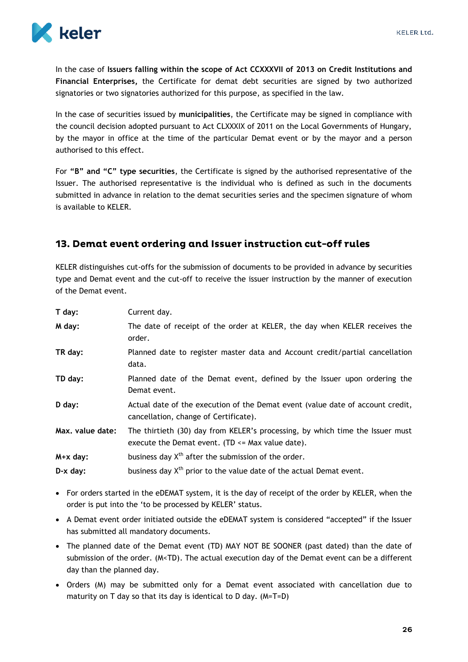

In the case of **Issuers falling within the scope of Act CCXXXVII of 2013 on Credit Institutions and Financial Enterprises,** the Certificate for demat debt securities are signed by two authorized signatories or two signatories authorized for this purpose, as specified in the law.

In the case of securities issued by **municipalities**, the Certificate may be signed in compliance with the council decision adopted pursuant to Act CLXXXIX of 2011 on the Local Governments of Hungary, by the mayor in office at the time of the particular Demat event or by the mayor and a person authorised to this effect.

For **"B" and "C" type securities**, the Certificate is signed by the authorised representative of the Issuer. The authorised representative is the individual who is defined as such in the documents submitted in advance in relation to the demat securities series and the specimen signature of whom is available to KELER.

## <span id="page-26-0"></span>13. Demat event ordering and Issuer instruction cut-off rules

KELER distinguishes cut-offs for the submission of documents to be provided in advance by securities type and Demat event and the cut-off to receive the issuer instruction by the manner of execution of the Demat event.

| T day:           | Current day.                                                                                                                          |
|------------------|---------------------------------------------------------------------------------------------------------------------------------------|
| M day:           | The date of receipt of the order at KELER, the day when KELER receives the<br>order.                                                  |
| TR day:          | Planned date to register master data and Account credit/partial cancellation<br>data.                                                 |
| TD day:          | Planned date of the Demat event, defined by the Issuer upon ordering the<br>Demat event.                                              |
| D day:           | Actual date of the execution of the Demat event (value date of account credit,<br>cancellation, change of Certificate).               |
| Max. value date: | The thirtieth (30) day from KELER's processing, by which time the Issuer must<br>execute the Demat event. (TD $\leq$ Max value date). |
| $M + x$ day:     | business day $X^{th}$ after the submission of the order.                                                                              |
| $D-x$ day:       | business day X <sup>th</sup> prior to the value date of the actual Demat event.                                                       |

- For orders started in the eDEMAT system, it is the day of receipt of the order by KELER, when the order is put into the 'to be processed by KELER' status.
- A Demat event order initiated outside the eDEMAT system is considered "accepted" if the Issuer has submitted all mandatory documents.
- The planned date of the Demat event (TD) MAY NOT BE SOONER (past dated) than the date of submission of the order. (M<TD). The actual execution day of the Demat event can be a different day than the planned day.
- Orders (M) may be submitted only for a Demat event associated with cancellation due to maturity on T day so that its day is identical to D day. (M=T=D)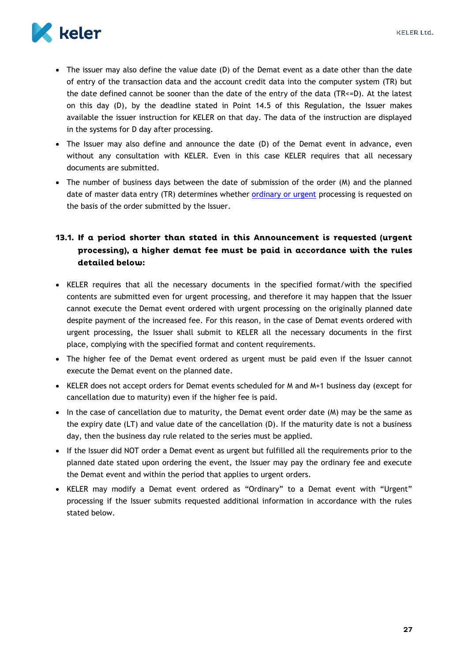

- The issuer may also define the value date (D) of the Demat event as a date other than the date of entry of the transaction data and the account credit data into the computer system (TR) but the date defined cannot be sooner than the date of the entry of the data (TR<=D). At the latest on this day (D), by the deadline stated in Point 14.5 of this Regulation, the Issuer makes available the issuer instruction for KELER on that day. The data of the instruction are displayed in the systems for D day after processing.
- The Issuer may also define and announce the date (D) of the Demat event in advance, even without any consultation with KELER. Even in this case KELER requires that all necessary documents are submitted.
- The number of business days between the date of submission of the order (M) and the planned date of master data entry (TR) determines whether [ordinary or urgent](#page-28-0) processing is requested on the basis of the order submitted by the Issuer.

## <span id="page-27-0"></span>13.1. If a period shorter than stated in this Announcement is requested (urgent processing), a higher demat fee must be paid in accordance with the rules detailed below:

- KELER requires that all the necessary documents in the specified format/with the specified contents are submitted even for urgent processing, and therefore it may happen that the Issuer cannot execute the Demat event ordered with urgent processing on the originally planned date despite payment of the increased fee. For this reason, in the case of Demat events ordered with urgent processing, the Issuer shall submit to KELER all the necessary documents in the first place, complying with the specified format and content requirements.
- The higher fee of the Demat event ordered as urgent must be paid even if the Issuer cannot execute the Demat event on the planned date.
- KELER does not accept orders for Demat events scheduled for M and M+1 business day (except for cancellation due to maturity) even if the higher fee is paid.
- $\bullet$  In the case of cancellation due to maturity, the Demat event order date (M) may be the same as the expiry date (LT) and value date of the cancellation (D). If the maturity date is not a business day, then the business day rule related to the series must be applied.
- If the Issuer did NOT order a Demat event as urgent but fulfilled all the requirements prior to the planned date stated upon ordering the event, the Issuer may pay the ordinary fee and execute the Demat event and within the period that applies to urgent orders.
- KELER may modify a Demat event ordered as "Ordinary" to a Demat event with "Urgent" processing if the Issuer submits requested additional information in accordance with the rules stated below.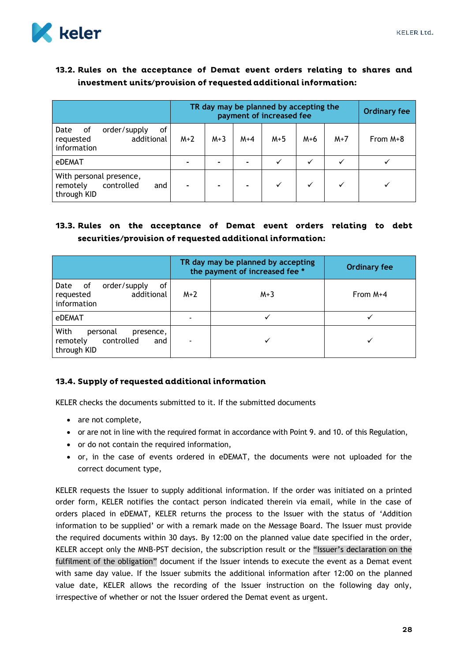

## <span id="page-28-0"></span>13.2. Rules on the acceptance of Demat event orders relating to shares and investment units/provision of requested additional information:

|                                                                            | TR day may be planned by accepting the<br>payment of increased fee |                |       |       |       |       | <b>Ordinary fee</b> |
|----------------------------------------------------------------------------|--------------------------------------------------------------------|----------------|-------|-------|-------|-------|---------------------|
| order/supply<br>Date<br>οf<br>οf<br>additional<br>requested<br>information | $M+2$                                                              | $M+3$          | $M+4$ | $M+5$ | $M+6$ | $M+7$ | From $M+8$          |
| <b>eDEMAT</b>                                                              |                                                                    | $\blacksquare$ |       | ✓     | ✓     |       |                     |
| With personal presence,<br>controlled<br>remotely<br>and<br>through KID    |                                                                    |                |       | ✓     |       |       |                     |

## <span id="page-28-1"></span>13.3. Rules on the acceptance of Demat event orders relating to debt securities/provision of requested additional information:

|                                                                               |       | TR day may be planned by accepting<br>the payment of increased fee * | <b>Ordinary fee</b> |
|-------------------------------------------------------------------------------|-------|----------------------------------------------------------------------|---------------------|
| of<br>order/supply<br>Date<br>0f<br>additional<br>requested<br>information    | $M+2$ | $M+3$                                                                | From M+4            |
| eDEMAT                                                                        |       |                                                                      |                     |
| With<br>personal<br>presence,<br>controlled<br>remotely<br>and<br>through KID | ٠     |                                                                      |                     |

## <span id="page-28-2"></span>13.4. Supply of requested additional information

KELER checks the documents submitted to it. If the submitted documents

- are not complete,
- or are not in line with the required format in accordance with Point 9. and 10. of this Regulation,
- or do not contain the required information,
- or, in the case of events ordered in eDEMAT, the documents were not uploaded for the correct document type,

KELER requests the Issuer to supply additional information. If the order was initiated on a printed order form, KELER notifies the contact person indicated therein via email, while in the case of orders placed in eDEMAT, KELER returns the process to the Issuer with the status of 'Addition information to be supplied' or with a remark made on the Message Board. The Issuer must provide the required documents within 30 days. By 12:00 on the planned value date specified in the order, KELER accept only the MNB-PST decision, the subscription result or the "Issuer's declaration on the fulfilment of the obligation" document if the Issuer intends to execute the event as a Demat event with same day value. If the Issuer submits the additional information after 12:00 on the planned value date, KELER allows the recording of the Issuer instruction on the following day only, irrespective of whether or not the Issuer ordered the Demat event as urgent.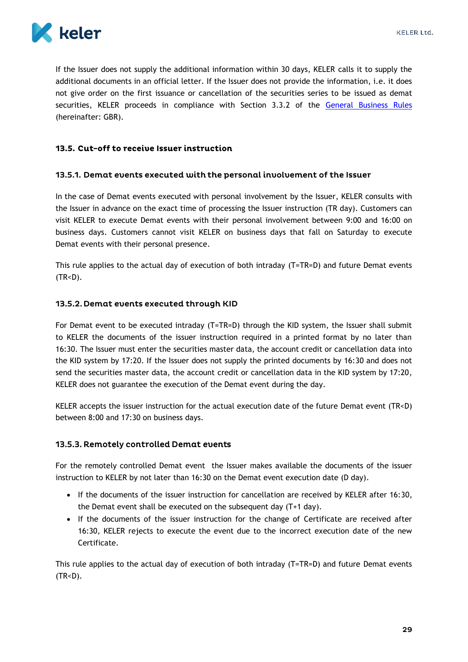

If the Issuer does not supply the additional information within 30 days, KELER calls it to supply the additional documents in an official letter. If the Issuer does not provide the information, i.e. it does not give order on the first issuance or cancellation of the securities series to be issued as demat securities, KELER proceeds in compliance with Section 3.3.2 of the [General Business Rules](https://english.keler.hu/Key%20documents/Regulatory%20documents/General%20Business%20Rules/) (hereinafter: GBR).

#### <span id="page-29-0"></span>13.5. Cut-off to receive Issuer instruction

#### <span id="page-29-1"></span>13.5.1. Demat events executed with the personal involvement of the Issuer

In the case of Demat events executed with personal involvement by the Issuer, KELER consults with the Issuer in advance on the exact time of processing the Issuer instruction (TR day). Customers can visit KELER to execute Demat events with their personal involvement between 9:00 and 16:00 on business days. Customers cannot visit KELER on business days that fall on Saturday to execute Demat events with their personal presence.

This rule applies to the actual day of execution of both intraday (T=TR=D) and future Demat events  $(TR < D)$ .

#### <span id="page-29-2"></span>13.5.2. Demat events executed through KID

For Demat event to be executed intraday (T=TR=D) through the KID system, the Issuer shall submit to KELER the documents of the issuer instruction required in a printed format by no later than 16:30. The Issuer must enter the securities master data, the account credit or cancellation data into the KID system by 17:20. If the Issuer does not supply the printed documents by 16:30 and does not send the securities master data, the account credit or cancellation data in the KID system by 17:20, KELER does not guarantee the execution of the Demat event during the day.

KELER accepts the issuer instruction for the actual execution date of the future Demat event (TR<D) between 8:00 and 17:30 on business days.

#### <span id="page-29-3"></span>13.5.3. Remotely controlled Demat events

For the remotely controlled Demat event the Issuer makes available the documents of the issuer instruction to KELER by not later than 16:30 on the Demat event execution date (D day).

- If the documents of the issuer instruction for cancellation are received by KELER after 16:30, the Demat event shall be executed on the subsequent day (T+1 day).
- If the documents of the issuer instruction for the change of Certificate are received after 16:30, KELER rejects to execute the event due to the incorrect execution date of the new Certificate.

This rule applies to the actual day of execution of both intraday (T=TR=D) and future Demat events  $(TR < D)$ .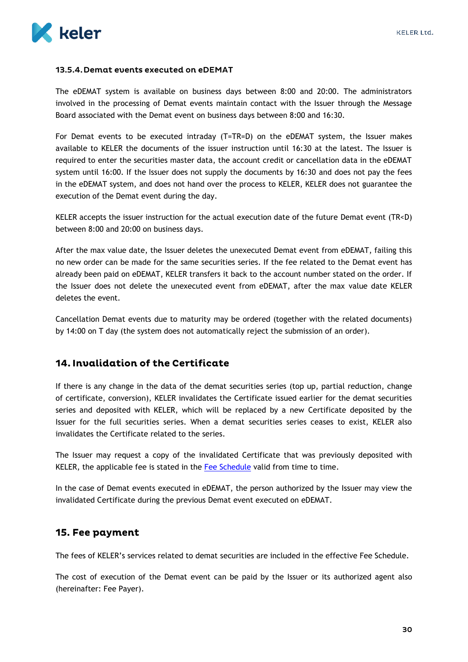#### <span id="page-30-0"></span>13.5.4. Demat events executed on eDEMAT

The eDEMAT system is available on business days between 8:00 and 20:00. The administrators involved in the processing of Demat events maintain contact with the Issuer through the Message Board associated with the Demat event on business days between 8:00 and 16:30.

For Demat events to be executed intraday (T=TR=D) on the eDEMAT system, the Issuer makes available to KELER the documents of the issuer instruction until 16:30 at the latest. The Issuer is required to enter the securities master data, the account credit or cancellation data in the eDEMAT system until 16:00. If the Issuer does not supply the documents by 16:30 and does not pay the fees in the eDEMAT system, and does not hand over the process to KELER, KELER does not guarantee the execution of the Demat event during the day.

KELER accepts the issuer instruction for the actual execution date of the future Demat event (TR<D) between 8:00 and 20:00 on business days.

After the max value date, the Issuer deletes the unexecuted Demat event from eDEMAT, failing this no new order can be made for the same securities series. If the fee related to the Demat event has already been paid on eDEMAT, KELER transfers it back to the account number stated on the order. If the Issuer does not delete the unexecuted event from eDEMAT, after the max value date KELER deletes the event.

Cancellation Demat events due to maturity may be ordered (together with the related documents) by 14:00 on T day (the system does not automatically reject the submission of an order).

## <span id="page-30-1"></span>14. Invalidation of the Certificate

If there is any change in the data of the demat securities series (top up, partial reduction, change of certificate, conversion), KELER invalidates the Certificate issued earlier for the demat securities series and deposited with KELER, which will be replaced by a new Certificate deposited by the Issuer for the full securities series. When a demat securities series ceases to exist, KELER also invalidates the Certificate related to the series.

The Issuer may request a copy of the invalidated Certificate that was previously deposited with KELER, the applicable fee is stated in the [Fee Schedule](https://english.keler.hu/Key%20documents/Regulatory%20documents/Fee%20Schedules/) valid from time to time.

In the case of Demat events executed in eDEMAT, the person authorized by the Issuer may view the invalidated Certificate during the previous Demat event executed on eDEMAT.

## <span id="page-30-2"></span>15. Fee payment

The fees of KELER's services related to demat securities are included in the effective Fee Schedule.

The cost of execution of the Demat event can be paid by the Issuer or its authorized agent also (hereinafter: Fee Payer).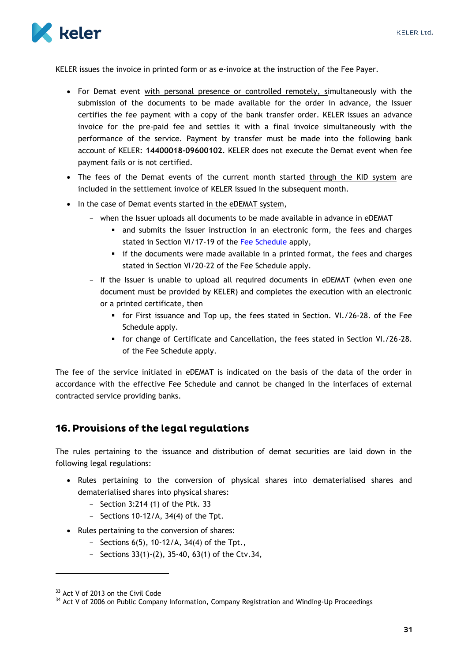

KELER issues the invoice in printed form or as e-invoice at the instruction of the Fee Payer.

- For Demat event with personal presence or controlled remotely, simultaneously with the submission of the documents to be made available for the order in advance, the Issuer certifies the fee payment with a copy of the bank transfer order. KELER issues an advance invoice for the pre-paid fee and settles it with a final invoice simultaneously with the performance of the service. Payment by transfer must be made into the following bank account of KELER: **14400018-09600102**. KELER does not execute the Demat event when fee payment fails or is not certified.
- The fees of the Demat events of the current month started through the KID system are included in the settlement invoice of KELER issued in the subsequent month.
- In the case of Demat events started in the eDEMAT system,
	- when the Issuer uploads all documents to be made available in advance in eDEMAT
		- and submits the issuer instruction in an electronic form, the fees and charges stated in Section VI/17-19 of the [Fee Schedule](https://english.keler.hu/Key%20documents/Regulatory%20documents/Fee%20Schedules/) apply,
		- if the documents were made available in a printed format, the fees and charges stated in Section VI/20-22 of the Fee Schedule apply.
	- If the Issuer is unable to upload all required documents in eDEMAT (when even one document must be provided by KELER) and completes the execution with an electronic or a printed certificate, then
		- for First issuance and Top up, the fees stated in Section. VI./26-28. of the Fee Schedule apply.
		- for change of Certificate and Cancellation, the fees stated in Section VI./26-28. of the Fee Schedule apply.

The fee of the service initiated in eDEMAT is indicated on the basis of the data of the order in accordance with the effective Fee Schedule and cannot be changed in the interfaces of external contracted service providing banks.

## <span id="page-31-0"></span>16. Provisions of the legal regulations

The rules pertaining to the issuance and distribution of demat securities are laid down in the following legal regulations:

- Rules pertaining to the conversion of physical shares into dematerialised shares and dematerialised shares into physical shares:
	- Section 3:214 (1) of the Ptk. 33
	- $-$  Sections 10-12/A, 34(4) of the Tpt.
- Rules pertaining to the conversion of shares:
	- Sections  $6(5)$ , 10-12/A, 34(4) of the Tpt.,
	- Sections 33(1)-(2), 35-40, 63(1) of the Ctv.34,

1

<sup>&</sup>lt;sup>33</sup> Act V of 2013 on the Civil Code

<sup>&</sup>lt;sup>34</sup> Act V of 2006 on Public Company Information, Company Registration and Winding-Up Proceedings